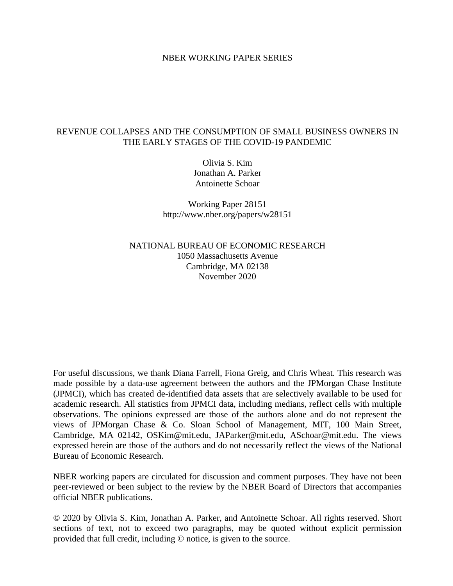### NBER WORKING PAPER SERIES

## REVENUE COLLAPSES AND THE CONSUMPTION OF SMALL BUSINESS OWNERS IN THE EARLY STAGES OF THE COVID-19 PANDEMIC

Olivia S. Kim Jonathan A. Parker Antoinette Schoar

Working Paper 28151 http://www.nber.org/papers/w28151

NATIONAL BUREAU OF ECONOMIC RESEARCH 1050 Massachusetts Avenue Cambridge, MA 02138 November 2020

For useful discussions, we thank Diana Farrell, Fiona Greig, and Chris Wheat. This research was made possible by a data-use agreement between the authors and the JPMorgan Chase Institute (JPMCI), which has created de-identified data assets that are selectively available to be used for academic research. All statistics from JPMCI data, including medians, reflect cells with multiple observations. The opinions expressed are those of the authors alone and do not represent the views of JPMorgan Chase & Co. Sloan School of Management, MIT, 100 Main Street, Cambridge, MA 02142, OSKim@mit.edu, JAParker@mit.edu, ASchoar@mit.edu. The views expressed herein are those of the authors and do not necessarily reflect the views of the National Bureau of Economic Research.

NBER working papers are circulated for discussion and comment purposes. They have not been peer-reviewed or been subject to the review by the NBER Board of Directors that accompanies official NBER publications.

© 2020 by Olivia S. Kim, Jonathan A. Parker, and Antoinette Schoar. All rights reserved. Short sections of text, not to exceed two paragraphs, may be quoted without explicit permission provided that full credit, including © notice, is given to the source.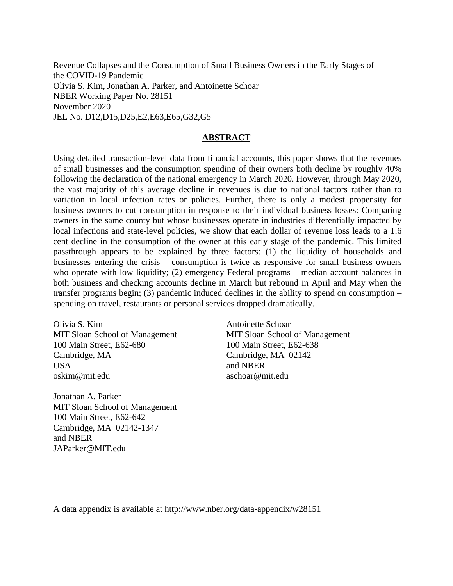Revenue Collapses and the Consumption of Small Business Owners in the Early Stages of the COVID-19 Pandemic Olivia S. Kim, Jonathan A. Parker, and Antoinette Schoar NBER Working Paper No. 28151 November 2020 JEL No. D12,D15,D25,E2,E63,E65,G32,G5

## **ABSTRACT**

Using detailed transaction-level data from financial accounts, this paper shows that the revenues of small businesses and the consumption spending of their owners both decline by roughly 40% following the declaration of the national emergency in March 2020. However, through May 2020, the vast majority of this average decline in revenues is due to national factors rather than to variation in local infection rates or policies. Further, there is only a modest propensity for business owners to cut consumption in response to their individual business losses: Comparing owners in the same county but whose businesses operate in industries differentially impacted by local infections and state-level policies, we show that each dollar of revenue loss leads to a 1.6 cent decline in the consumption of the owner at this early stage of the pandemic. This limited passthrough appears to be explained by three factors: (1) the liquidity of households and businesses entering the crisis – consumption is twice as responsive for small business owners who operate with low liquidity; (2) emergency Federal programs – median account balances in both business and checking accounts decline in March but rebound in April and May when the transfer programs begin; (3) pandemic induced declines in the ability to spend on consumption – spending on travel, restaurants or personal services dropped dramatically.

Olivia S. Kim MIT Sloan School of Management 100 Main Street, E62-680 Cambridge, MA USA oskim@mit.edu

Antoinette Schoar MIT Sloan School of Management 100 Main Street, E62-638 Cambridge, MA 02142 and NBER aschoar@mit.edu

Jonathan A. Parker MIT Sloan School of Management 100 Main Street, E62-642 Cambridge, MA 02142-1347 and NBER JAParker@MIT.edu

A data appendix is available at http://www.nber.org/data-appendix/w28151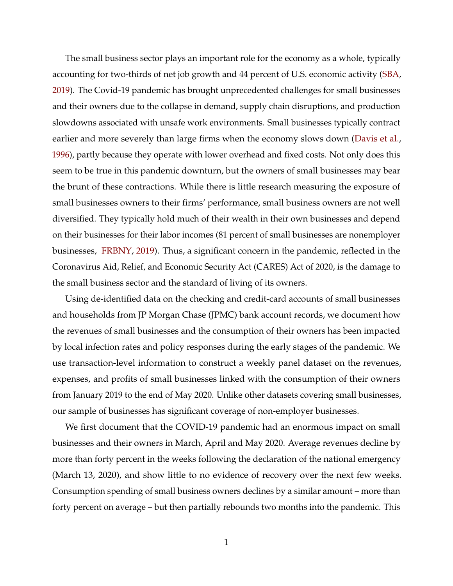The small business sector plays an important role for the economy as a whole, typically accounting for two-thirds of net job growth and 44 percent of U.S. economic activity [\(SBA,](#page-35-0) [2019\)](#page-35-0). The Covid-19 pandemic has brought unprecedented challenges for small businesses and their owners due to the collapse in demand, supply chain disruptions, and production slowdowns associated with unsafe work environments. Small businesses typically contract earlier and more severely than large firms when the economy slows down [\(Davis et al.,](#page-34-0) [1996\)](#page-34-0), partly because they operate with lower overhead and fixed costs. Not only does this seem to be true in this pandemic downturn, but the owners of small businesses may bear the brunt of these contractions. While there is little research measuring the exposure of small businesses owners to their firms' performance, small business owners are not well diversified. They typically hold much of their wealth in their own businesses and depend on their businesses for their labor incomes (81 percent of small businesses are nonemployer businesses, [FRBNY,](#page-35-1) [2019\)](#page-35-1). Thus, a significant concern in the pandemic, reflected in the Coronavirus Aid, Relief, and Economic Security Act (CARES) Act of 2020, is the damage to the small business sector and the standard of living of its owners.

Using de-identified data on the checking and credit-card accounts of small businesses and households from JP Morgan Chase (JPMC) bank account records, we document how the revenues of small businesses and the consumption of their owners has been impacted by local infection rates and policy responses during the early stages of the pandemic. We use transaction-level information to construct a weekly panel dataset on the revenues, expenses, and profits of small businesses linked with the consumption of their owners from January 2019 to the end of May 2020. Unlike other datasets covering small businesses, our sample of businesses has significant coverage of non-employer businesses.

We first document that the COVID-19 pandemic had an enormous impact on small businesses and their owners in March, April and May 2020. Average revenues decline by more than forty percent in the weeks following the declaration of the national emergency (March 13, 2020), and show little to no evidence of recovery over the next few weeks. Consumption spending of small business owners declines by a similar amount – more than forty percent on average – but then partially rebounds two months into the pandemic. This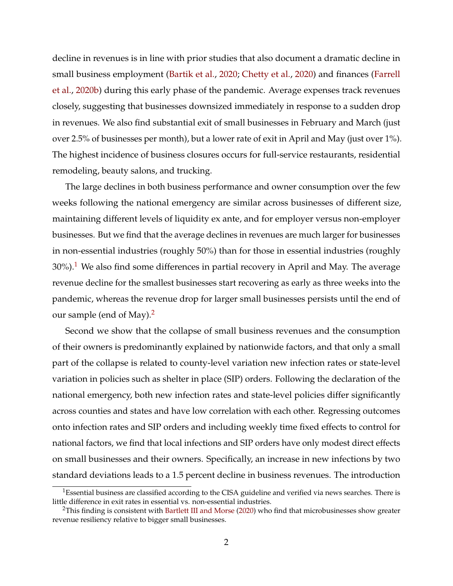decline in revenues is in line with prior studies that also document a dramatic decline in small business employment [\(Bartik et al.,](#page-34-1) [2020;](#page-34-1) [Chetty et al.,](#page-34-2) [2020\)](#page-34-2) and finances [\(Farrell](#page-35-2) [et al.,](#page-35-2) [2020b\)](#page-35-2) during this early phase of the pandemic. Average expenses track revenues closely, suggesting that businesses downsized immediately in response to a sudden drop in revenues. We also find substantial exit of small businesses in February and March (just over 2.5% of businesses per month), but a lower rate of exit in April and May (just over 1%). The highest incidence of business closures occurs for full-service restaurants, residential remodeling, beauty salons, and trucking.

The large declines in both business performance and owner consumption over the few weeks following the national emergency are similar across businesses of different size, maintaining different levels of liquidity ex ante, and for employer versus non-employer businesses. But we find that the average declines in revenues are much larger for businesses in non-essential industries (roughly 50%) than for those in essential industries (roughly  $30\%$ ).<sup>[1](#page-3-0)</sup> We also find some differences in partial recovery in April and May. The average revenue decline for the smallest businesses start recovering as early as three weeks into the pandemic, whereas the revenue drop for larger small businesses persists until the end of our sample (end of May).<sup>[2](#page-3-1)</sup>

Second we show that the collapse of small business revenues and the consumption of their owners is predominantly explained by nationwide factors, and that only a small part of the collapse is related to county-level variation new infection rates or state-level variation in policies such as shelter in place (SIP) orders. Following the declaration of the national emergency, both new infection rates and state-level policies differ significantly across counties and states and have low correlation with each other. Regressing outcomes onto infection rates and SIP orders and including weekly time fixed effects to control for national factors, we find that local infections and SIP orders have only modest direct effects on small businesses and their owners. Specifically, an increase in new infections by two standard deviations leads to a 1.5 percent decline in business revenues. The introduction

<span id="page-3-0"></span><sup>&</sup>lt;sup>1</sup>Essential business are classified according to the CISA guideline and verified via news searches. There is little difference in exit rates in essential vs. non-essential industries.

<span id="page-3-1"></span><sup>&</sup>lt;sup>2</sup>This finding is consistent with [Bartlett III and Morse](#page-34-3) [\(2020\)](#page-34-3) who find that microbusinesses show greater revenue resiliency relative to bigger small businesses.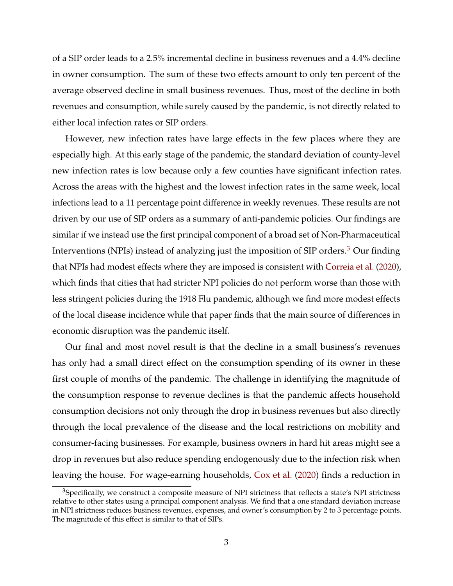of a SIP order leads to a 2.5% incremental decline in business revenues and a 4.4% decline in owner consumption. The sum of these two effects amount to only ten percent of the average observed decline in small business revenues. Thus, most of the decline in both revenues and consumption, while surely caused by the pandemic, is not directly related to either local infection rates or SIP orders.

However, new infection rates have large effects in the few places where they are especially high. At this early stage of the pandemic, the standard deviation of county-level new infection rates is low because only a few counties have significant infection rates. Across the areas with the highest and the lowest infection rates in the same week, local infections lead to a 11 percentage point difference in weekly revenues. These results are not driven by our use of SIP orders as a summary of anti-pandemic policies. Our findings are similar if we instead use the first principal component of a broad set of Non-Pharmaceutical Interventions (NPIs) instead of analyzing just the imposition of SIP orders.<sup>[3](#page-4-0)</sup> Our finding that NPIs had modest effects where they are imposed is consistent with [Correia et al.](#page-34-4) [\(2020\)](#page-34-4), which finds that cities that had stricter NPI policies do not perform worse than those with less stringent policies during the 1918 Flu pandemic, although we find more modest effects of the local disease incidence while that paper finds that the main source of differences in economic disruption was the pandemic itself.

Our final and most novel result is that the decline in a small business's revenues has only had a small direct effect on the consumption spending of its owner in these first couple of months of the pandemic. The challenge in identifying the magnitude of the consumption response to revenue declines is that the pandemic affects household consumption decisions not only through the drop in business revenues but also directly through the local prevalence of the disease and the local restrictions on mobility and consumer-facing businesses. For example, business owners in hard hit areas might see a drop in revenues but also reduce spending endogenously due to the infection risk when leaving the house. For wage-earning households, [Cox et al.](#page-34-5) [\(2020\)](#page-34-5) finds a reduction in

<span id="page-4-0"></span><sup>&</sup>lt;sup>3</sup>Specifically, we construct a composite measure of NPI strictness that reflects a state's NPI strictness relative to other states using a principal component analysis. We find that a one standard deviation increase in NPI strictness reduces business revenues, expenses, and owner's consumption by 2 to 3 percentage points. The magnitude of this effect is similar to that of SIPs.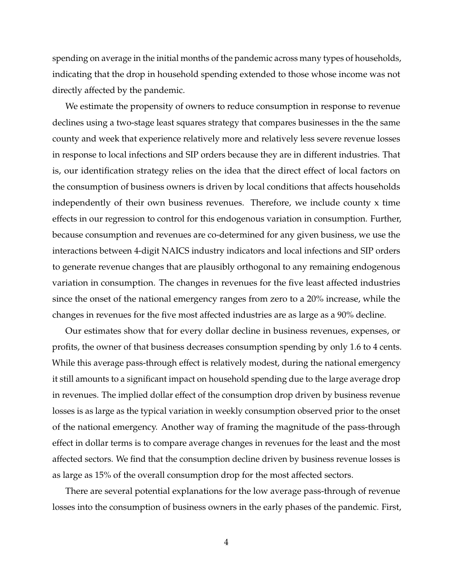spending on average in the initial months of the pandemic across many types of households, indicating that the drop in household spending extended to those whose income was not directly affected by the pandemic.

We estimate the propensity of owners to reduce consumption in response to revenue declines using a two-stage least squares strategy that compares businesses in the the same county and week that experience relatively more and relatively less severe revenue losses in response to local infections and SIP orders because they are in different industries. That is, our identification strategy relies on the idea that the direct effect of local factors on the consumption of business owners is driven by local conditions that affects households independently of their own business revenues. Therefore, we include county x time effects in our regression to control for this endogenous variation in consumption. Further, because consumption and revenues are co-determined for any given business, we use the interactions between 4-digit NAICS industry indicators and local infections and SIP orders to generate revenue changes that are plausibly orthogonal to any remaining endogenous variation in consumption. The changes in revenues for the five least affected industries since the onset of the national emergency ranges from zero to a 20% increase, while the changes in revenues for the five most affected industries are as large as a 90% decline.

Our estimates show that for every dollar decline in business revenues, expenses, or profits, the owner of that business decreases consumption spending by only 1.6 to 4 cents. While this average pass-through effect is relatively modest, during the national emergency it still amounts to a significant impact on household spending due to the large average drop in revenues. The implied dollar effect of the consumption drop driven by business revenue losses is as large as the typical variation in weekly consumption observed prior to the onset of the national emergency. Another way of framing the magnitude of the pass-through effect in dollar terms is to compare average changes in revenues for the least and the most affected sectors. We find that the consumption decline driven by business revenue losses is as large as 15% of the overall consumption drop for the most affected sectors.

There are several potential explanations for the low average pass-through of revenue losses into the consumption of business owners in the early phases of the pandemic. First,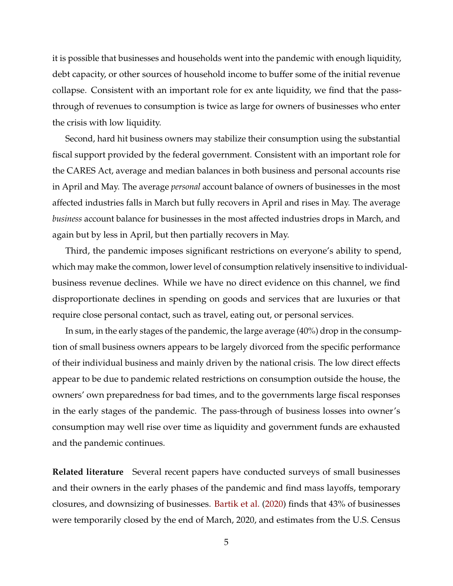it is possible that businesses and households went into the pandemic with enough liquidity, debt capacity, or other sources of household income to buffer some of the initial revenue collapse. Consistent with an important role for ex ante liquidity, we find that the passthrough of revenues to consumption is twice as large for owners of businesses who enter the crisis with low liquidity.

Second, hard hit business owners may stabilize their consumption using the substantial fiscal support provided by the federal government. Consistent with an important role for the CARES Act, average and median balances in both business and personal accounts rise in April and May. The average *personal* account balance of owners of businesses in the most affected industries falls in March but fully recovers in April and rises in May. The average *business* account balance for businesses in the most affected industries drops in March, and again but by less in April, but then partially recovers in May.

Third, the pandemic imposes significant restrictions on everyone's ability to spend, which may make the common, lower level of consumption relatively insensitive to individualbusiness revenue declines. While we have no direct evidence on this channel, we find disproportionate declines in spending on goods and services that are luxuries or that require close personal contact, such as travel, eating out, or personal services.

In sum, in the early stages of the pandemic, the large average (40%) drop in the consumption of small business owners appears to be largely divorced from the specific performance of their individual business and mainly driven by the national crisis. The low direct effects appear to be due to pandemic related restrictions on consumption outside the house, the owners' own preparedness for bad times, and to the governments large fiscal responses in the early stages of the pandemic. The pass-through of business losses into owner's consumption may well rise over time as liquidity and government funds are exhausted and the pandemic continues.

**Related literature** Several recent papers have conducted surveys of small businesses and their owners in the early phases of the pandemic and find mass layoffs, temporary closures, and downsizing of businesses. [Bartik et al.](#page-34-1) [\(2020\)](#page-34-1) finds that 43% of businesses were temporarily closed by the end of March, 2020, and estimates from the U.S. Census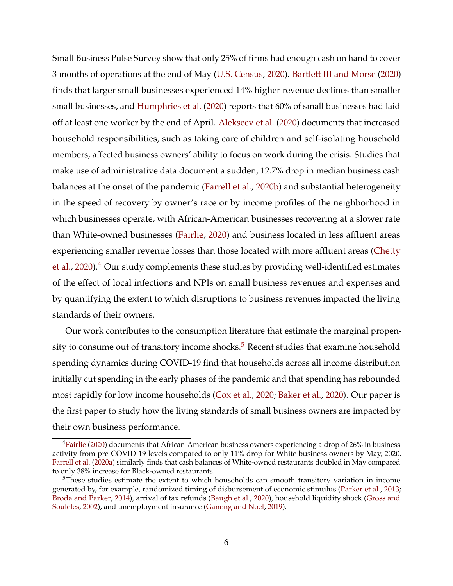Small Business Pulse Survey show that only 25% of firms had enough cash on hand to cover 3 months of operations at the end of May [\(U.S. Census,](#page-35-3) [2020\)](#page-35-3). [Bartlett III and Morse](#page-34-3) [\(2020\)](#page-34-3) finds that larger small businesses experienced 14% higher revenue declines than smaller small businesses, and [Humphries et al.](#page-35-4) [\(2020\)](#page-35-4) reports that 60% of small businesses had laid off at least one worker by the end of April. [Alekseev et al.](#page-34-6) [\(2020\)](#page-34-6) documents that increased household responsibilities, such as taking care of children and self-isolating household members, affected business owners' ability to focus on work during the crisis. Studies that make use of administrative data document a sudden, 12.7% drop in median business cash balances at the onset of the pandemic [\(Farrell et al.,](#page-35-2) [2020b\)](#page-35-2) and substantial heterogeneity in the speed of recovery by owner's race or by income profiles of the neighborhood in which businesses operate, with African-American businesses recovering at a slower rate than White-owned businesses [\(Fairlie,](#page-35-5) [2020\)](#page-35-5) and business located in less affluent areas experiencing smaller revenue losses than those located with more affluent areas [\(Chetty](#page-34-2) [et al.,](#page-34-2) [2020\)](#page-34-2).<sup>[4](#page-7-0)</sup> Our study complements these studies by providing well-identified estimates of the effect of local infections and NPIs on small business revenues and expenses and by quantifying the extent to which disruptions to business revenues impacted the living standards of their owners.

Our work contributes to the consumption literature that estimate the marginal propen-sity to consume out of transitory income shocks.<sup>[5](#page-7-1)</sup> Recent studies that examine household spending dynamics during COVID-19 find that households across all income distribution initially cut spending in the early phases of the pandemic and that spending has rebounded most rapidly for low income households [\(Cox et al.,](#page-34-5) [2020;](#page-34-5) [Baker et al.,](#page-34-7) [2020\)](#page-34-7). Our paper is the first paper to study how the living standards of small business owners are impacted by their own business performance.

<span id="page-7-0"></span><sup>&</sup>lt;sup>4</sup>[Fairlie](#page-35-5) [\(2020\)](#page-35-5) documents that African-American business owners experiencing a drop of 26% in business activity from pre-COVID-19 levels compared to only 11% drop for White business owners by May, 2020. [Farrell et al.](#page-35-6) [\(2020a\)](#page-35-6) similarly finds that cash balances of White-owned restaurants doubled in May compared to only 38% increase for Black-owned restaurants.

<span id="page-7-1"></span><sup>&</sup>lt;sup>5</sup>These studies estimate the extent to which households can smooth transitory variation in income generated by, for example, randomized timing of disbursement of economic stimulus [\(Parker et al.,](#page-35-7) [2013;](#page-35-7) [Broda and Parker,](#page-34-8) [2014\)](#page-34-8), arrival of tax refunds [\(Baugh et al.,](#page-34-9) [2020\)](#page-34-9), household liquidity shock [\(Gross and](#page-35-8) [Souleles,](#page-35-8) [2002\)](#page-35-8), and unemployment insurance [\(Ganong and Noel,](#page-35-9) [2019\)](#page-35-9).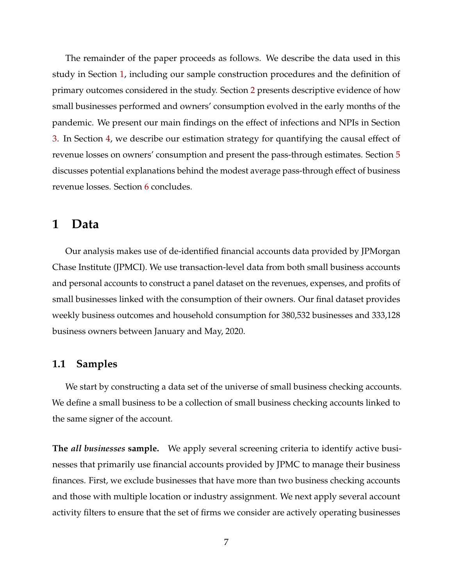The remainder of the paper proceeds as follows. We describe the data used in this study in Section [1,](#page-8-0) including our sample construction procedures and the definition of primary outcomes considered in the study. Section [2](#page-16-0) presents descriptive evidence of how small businesses performed and owners' consumption evolved in the early months of the pandemic. We present our main findings on the effect of infections and NPIs in Section [3.](#page-19-0) In Section [4,](#page-25-0) we describe our estimation strategy for quantifying the causal effect of revenue losses on owners' consumption and present the pass-through estimates. Section [5](#page-31-0) discusses potential explanations behind the modest average pass-through effect of business revenue losses. Section [6](#page-32-0) concludes.

# <span id="page-8-0"></span>**1 Data**

Our analysis makes use of de-identified financial accounts data provided by JPMorgan Chase Institute (JPMCI). We use transaction-level data from both small business accounts and personal accounts to construct a panel dataset on the revenues, expenses, and profits of small businesses linked with the consumption of their owners. Our final dataset provides weekly business outcomes and household consumption for 380,532 businesses and 333,128 business owners between January and May, 2020.

## <span id="page-8-1"></span>**1.1 Samples**

We start by constructing a data set of the universe of small business checking accounts. We define a small business to be a collection of small business checking accounts linked to the same signer of the account.

**The** *all businesses* **sample.** We apply several screening criteria to identify active businesses that primarily use financial accounts provided by JPMC to manage their business finances. First, we exclude businesses that have more than two business checking accounts and those with multiple location or industry assignment. We next apply several account activity filters to ensure that the set of firms we consider are actively operating businesses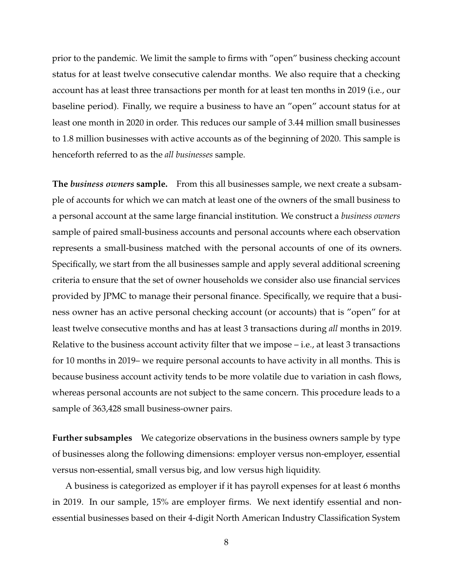prior to the pandemic. We limit the sample to firms with "open" business checking account status for at least twelve consecutive calendar months. We also require that a checking account has at least three transactions per month for at least ten months in 2019 (i.e., our baseline period). Finally, we require a business to have an "open" account status for at least one month in 2020 in order. This reduces our sample of 3.44 million small businesses to 1.8 million businesses with active accounts as of the beginning of 2020. This sample is henceforth referred to as the *all businesses* sample.

**The** *business owners* **sample.** From this all businesses sample, we next create a subsample of accounts for which we can match at least one of the owners of the small business to a personal account at the same large financial institution. We construct a *business owners* sample of paired small-business accounts and personal accounts where each observation represents a small-business matched with the personal accounts of one of its owners. Specifically, we start from the all businesses sample and apply several additional screening criteria to ensure that the set of owner households we consider also use financial services provided by JPMC to manage their personal finance. Specifically, we require that a business owner has an active personal checking account (or accounts) that is "open" for at least twelve consecutive months and has at least 3 transactions during *all* months in 2019. Relative to the business account activity filter that we impose – i.e., at least 3 transactions for 10 months in 2019– we require personal accounts to have activity in all months. This is because business account activity tends to be more volatile due to variation in cash flows, whereas personal accounts are not subject to the same concern. This procedure leads to a sample of 363,428 small business-owner pairs.

**Further subsamples** We categorize observations in the business owners sample by type of businesses along the following dimensions: employer versus non-employer, essential versus non-essential, small versus big, and low versus high liquidity.

A business is categorized as employer if it has payroll expenses for at least 6 months in 2019. In our sample, 15% are employer firms. We next identify essential and nonessential businesses based on their 4-digit North American Industry Classification System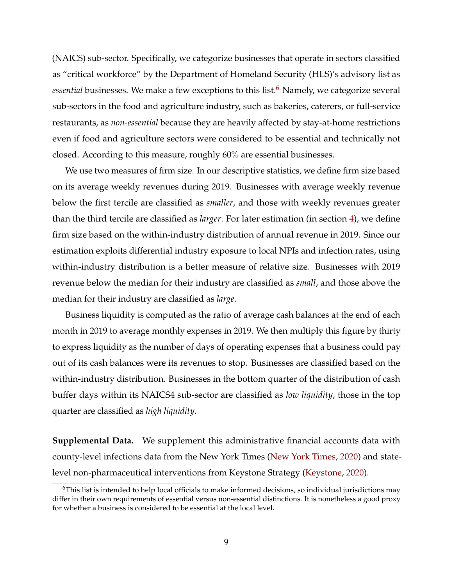(NAICS) sub-sector. Specifically, we categorize businesses that operate in sectors classified as "critical workforce" by the Department of Homeland Security (HLS)'s advisory list as *essential* businesses. We make a few exceptions to this list.<sup>[6](#page-10-0)</sup> Namely, we categorize several sub-sectors in the food and agriculture industry, such as bakeries, caterers, or full-service restaurants, as *non-essential* because they are heavily affected by stay-at-home restrictions even if food and agriculture sectors were considered to be essential and technically not closed. According to this measure, roughly 60% are essential businesses.

We use two measures of firm size. In our descriptive statistics, we define firm size based on its average weekly revenues during 2019. Businesses with average weekly revenue below the first tercile are classified as *smaller*, and those with weekly revenues greater than the third tercile are classified as *larger*. For later estimation (in section [4\)](#page-25-0), we define firm size based on the within-industry distribution of annual revenue in 2019. Since our estimation exploits differential industry exposure to local NPIs and infection rates, using within-industry distribution is a better measure of relative size. Businesses with 2019 revenue below the median for their industry are classified as *small*, and those above the median for their industry are classified as *large*.

Business liquidity is computed as the ratio of average cash balances at the end of each month in 2019 to average monthly expenses in 2019. We then multiply this figure by thirty to express liquidity as the number of days of operating expenses that a business could pay out of its cash balances were its revenues to stop. Businesses are classified based on the within-industry distribution. Businesses in the bottom quarter of the distribution of cash buffer days within its NAICS4 sub-sector are classified as *low liquidity*, those in the top quarter are classified as *high liquidity*.

**Supplemental Data.** We supplement this administrative financial accounts data with county-level infections data from the New York Times [\(New York Times,](#page-35-10) [2020\)](#page-35-10) and statelevel non-pharmaceutical interventions from Keystone Strategy [\(Keystone,](#page-35-11) [2020\)](#page-35-11).

<span id="page-10-0"></span><sup>6</sup>This list is intended to help local officials to make informed decisions, so individual jurisdictions may differ in their own requirements of essential versus non-essential distinctions. It is nonetheless a good proxy for whether a business is considered to be essential at the local level.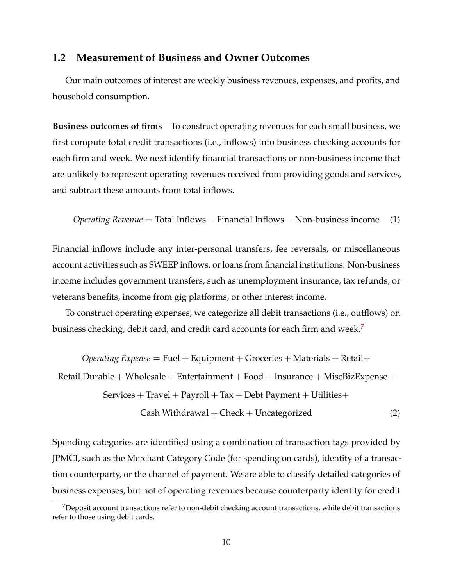## <span id="page-11-1"></span>**1.2 Measurement of Business and Owner Outcomes**

Our main outcomes of interest are weekly business revenues, expenses, and profits, and household consumption.

**Business outcomes of firms** To construct operating revenues for each small business, we first compute total credit transactions (i.e., inflows) into business checking accounts for each firm and week. We next identify financial transactions or non-business income that are unlikely to represent operating revenues received from providing goods and services, and subtract these amounts from total inflows.

*Operating Revenue* = Total Inflows − Financial Inflows − Non-business income (1)

Financial inflows include any inter-personal transfers, fee reversals, or miscellaneous account activities such as SWEEP inflows, or loans from financial institutions. Non-business income includes government transfers, such as unemployment insurance, tax refunds, or veterans benefits, income from gig platforms, or other interest income.

To construct operating expenses, we categorize all debit transactions (i.e., outflows) on business checking, debit card, and credit card accounts for each firm and week.<sup>[7](#page-11-0)</sup>

*Operating Expense* = Fuel + Equipment + Groceries + Materials + Retail +

Retail Durable + Wholesale + Entertainment + Food + Insurance + MiscBizExpense+

 $S$ ervices + Travel + Payroll + Tax + Debt Payment + Utilities +

$$
Cash With drawnal + Check + Uncategorical
$$
 (2)

Spending categories are identified using a combination of transaction tags provided by JPMCI, such as the Merchant Category Code (for spending on cards), identity of a transaction counterparty, or the channel of payment. We are able to classify detailed categories of business expenses, but not of operating revenues because counterparty identity for credit

<span id="page-11-0"></span><sup>&</sup>lt;sup>7</sup>Deposit account transactions refer to non-debit checking account transactions, while debit transactions refer to those using debit cards.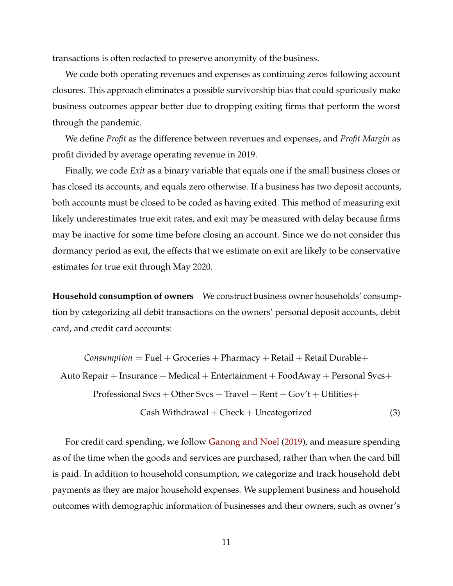transactions is often redacted to preserve anonymity of the business.

We code both operating revenues and expenses as continuing zeros following account closures. This approach eliminates a possible survivorship bias that could spuriously make business outcomes appear better due to dropping exiting firms that perform the worst through the pandemic.

We define *Profit* as the difference between revenues and expenses, and *Profit Margin* as profit divided by average operating revenue in 2019.

Finally, we code *Exit* as a binary variable that equals one if the small business closes or has closed its accounts, and equals zero otherwise. If a business has two deposit accounts, both accounts must be closed to be coded as having exited. This method of measuring exit likely underestimates true exit rates, and exit may be measured with delay because firms may be inactive for some time before closing an account. Since we do not consider this dormancy period as exit, the effects that we estimate on exit are likely to be conservative estimates for true exit through May 2020.

**Household consumption of owners** We construct business owner households' consumption by categorizing all debit transactions on the owners' personal deposit accounts, debit card, and credit card accounts:

 $Consumption = \text{Fuel} + \text{Groceries} + \text{Pharmacy} + \text{Retail} + \text{Retail}$  Durable+ Auto Repair + Insurance + Medical + Entertainment + FoodAway + Personal Svcs+ Professional Svcs + Other Svcs + Travel + Rent +  $Gov't + Utilities +$  $Cash Withdrawal + Check + Uncategorical$  (3)

For credit card spending, we follow [Ganong and Noel](#page-35-9) [\(2019\)](#page-35-9), and measure spending as of the time when the goods and services are purchased, rather than when the card bill is paid. In addition to household consumption, we categorize and track household debt payments as they are major household expenses. We supplement business and household outcomes with demographic information of businesses and their owners, such as owner's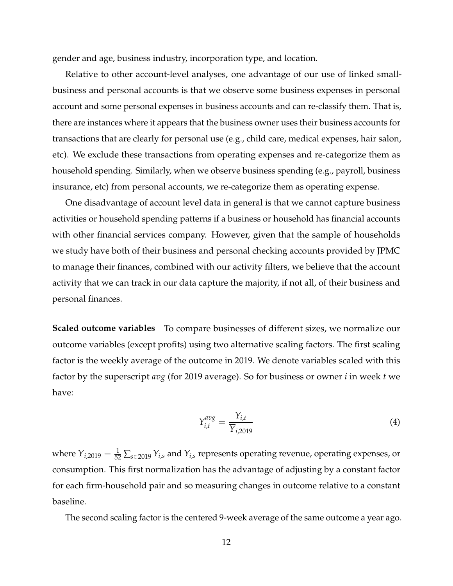gender and age, business industry, incorporation type, and location.

Relative to other account-level analyses, one advantage of our use of linked smallbusiness and personal accounts is that we observe some business expenses in personal account and some personal expenses in business accounts and can re-classify them. That is, there are instances where it appears that the business owner uses their business accounts for transactions that are clearly for personal use (e.g., child care, medical expenses, hair salon, etc). We exclude these transactions from operating expenses and re-categorize them as household spending. Similarly, when we observe business spending (e.g., payroll, business insurance, etc) from personal accounts, we re-categorize them as operating expense.

One disadvantage of account level data in general is that we cannot capture business activities or household spending patterns if a business or household has financial accounts with other financial services company. However, given that the sample of households we study have both of their business and personal checking accounts provided by JPMC to manage their finances, combined with our activity filters, we believe that the account activity that we can track in our data capture the majority, if not all, of their business and personal finances.

**Scaled outcome variables** To compare businesses of different sizes, we normalize our outcome variables (except profits) using two alternative scaling factors. The first scaling factor is the weekly average of the outcome in 2019. We denote variables scaled with this factor by the superscript *avg* (for 2019 average). So for business or owner *i* in week *t* we have:

$$
Y_{i,t}^{avg} = \frac{Y_{i,t}}{\overline{Y}_{i,2019}}
$$
 (4)

where  $\overline{Y}_{i,2019} = \frac{1}{52} \sum_{s \in 2019} Y_{i,s}$  and  $Y_{i,s}$  represents operating revenue, operating expenses, or consumption. This first normalization has the advantage of adjusting by a constant factor for each firm-household pair and so measuring changes in outcome relative to a constant baseline.

The second scaling factor is the centered 9-week average of the same outcome a year ago.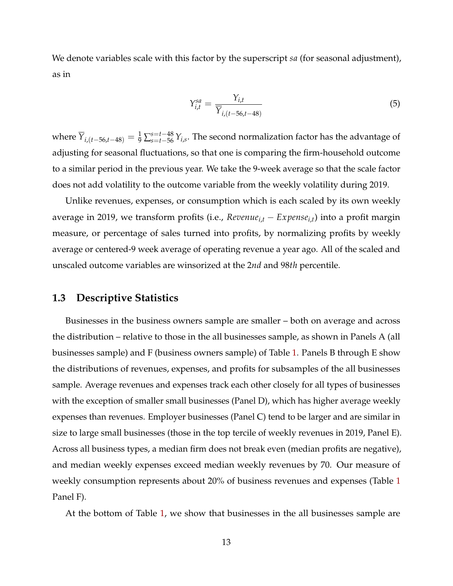We denote variables scale with this factor by the superscript *sa* (for seasonal adjustment), as in

$$
Y_{i,t}^{sa} = \frac{Y_{i,t}}{\overline{Y}_{i,(t-56,t-48)}}
$$
(5)

where  $\overline{Y}_{i,(t-56,t-48)}=\frac{1}{9}\sum_{s=t-56}^{s=t-48}Y_{i,s}.$  The second normalization factor has the advantage of adjusting for seasonal fluctuations, so that one is comparing the firm-household outcome to a similar period in the previous year. We take the 9-week average so that the scale factor does not add volatility to the outcome variable from the weekly volatility during 2019.

Unlike revenues, expenses, or consumption which is each scaled by its own weekly average in 2019, we transform profits (i.e., *Revenuei*,*<sup>t</sup>* − *Expensei*,*<sup>t</sup>* ) into a profit margin measure, or percentage of sales turned into profits, by normalizing profits by weekly average or centered-9 week average of operating revenue a year ago. All of the scaled and unscaled outcome variables are winsorized at the 2*nd* and 98*th* percentile.

# **1.3 Descriptive Statistics**

Businesses in the business owners sample are smaller – both on average and across the distribution – relative to those in the all businesses sample, as shown in Panels A (all businesses sample) and F (business owners sample) of Table [1.](#page-36-0) Panels B through E show the distributions of revenues, expenses, and profits for subsamples of the all businesses sample. Average revenues and expenses track each other closely for all types of businesses with the exception of smaller small businesses (Panel D), which has higher average weekly expenses than revenues. Employer businesses (Panel C) tend to be larger and are similar in size to large small businesses (those in the top tercile of weekly revenues in 2019, Panel E). Across all business types, a median firm does not break even (median profits are negative), and median weekly expenses exceed median weekly revenues by 70. Our measure of weekly consumption represents about 20% of business revenues and expenses (Table [1](#page-36-0) Panel F).

At the bottom of Table [1,](#page-36-0) we show that businesses in the all businesses sample are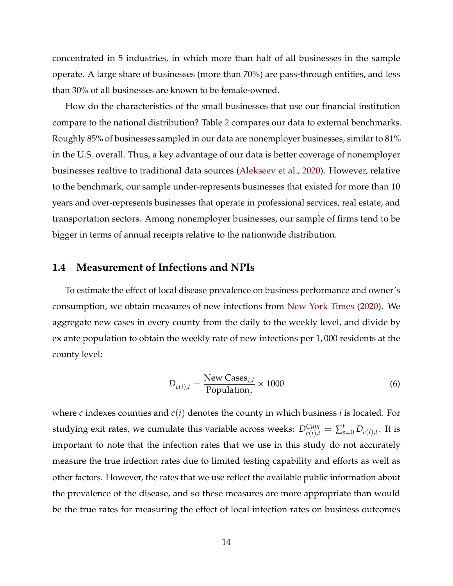concentrated in 5 industries, in which more than half of all businesses in the sample operate. A large share of businesses (more than 70%) are pass-through entities, and less than 30% of all businesses are known to be female-owned.

How do the characteristics of the small businesses that use our financial institution compare to the national distribution? Table [2](#page-37-0) compares our data to external benchmarks. Roughly 85% of businesses sampled in our data are nonemployer businesses, similar to 81% in the U.S. overall. Thus, a key advantage of our data is better coverage of nonemployer businesses realtive to traditional data sources [\(Alekseev et al.,](#page-34-6) [2020\)](#page-34-6). However, relative to the benchmark, our sample under-represents businesses that existed for more than 10 years and over-represents businesses that operate in professional services, real estate, and transportation sectors. Among nonemployer businesses, our sample of firms tend to be bigger in terms of annual receipts relative to the nationwide distribution.

## <span id="page-15-0"></span>**1.4 Measurement of Infections and NPIs**

To estimate the effect of local disease prevalence on business performance and owner's consumption, we obtain measures of new infections from [New York Times](#page-35-10) [\(2020\)](#page-35-10). We aggregate new cases in every county from the daily to the weekly level, and divide by ex ante population to obtain the weekly rate of new infections per 1, 000 residents at the county level:

$$
D_{c(i),t} = \frac{\text{New Cases}_{c,t}}{\text{Population}_c} \times 1000\tag{6}
$$

where *c* indexes counties and *c*(*i*) denotes the county in which business *i* is located. For studying exit rates, we cumulate this variable across weeks:  $D_{c(i),t}^{Cum} = \sum_{s=0}^{t} D_{c(i),t}.$  It is important to note that the infection rates that we use in this study do not accurately measure the true infection rates due to limited testing capability and efforts as well as other factors. However, the rates that we use reflect the available public information about the prevalence of the disease, and so these measures are more appropriate than would be the true rates for measuring the effect of local infection rates on business outcomes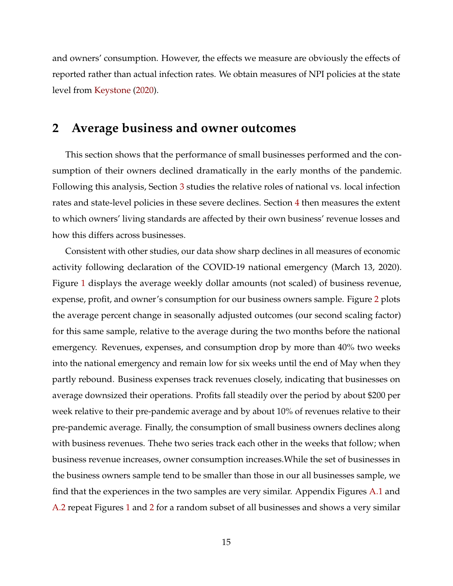and owners' consumption. However, the effects we measure are obviously the effects of reported rather than actual infection rates. We obtain measures of NPI policies at the state level from [Keystone](#page-35-11) [\(2020\)](#page-35-11).

# <span id="page-16-0"></span>**2 Average business and owner outcomes**

This section shows that the performance of small businesses performed and the consumption of their owners declined dramatically in the early months of the pandemic. Following this analysis, Section [3](#page-19-0) studies the relative roles of national vs. local infection rates and state-level policies in these severe declines. Section [4](#page-25-0) then measures the extent to which owners' living standards are affected by their own business' revenue losses and how this differs across businesses.

Consistent with other studies, our data show sharp declines in all measures of economic activity following declaration of the COVID-19 national emergency (March 13, 2020). Figure [1](#page-43-0) displays the average weekly dollar amounts (not scaled) of business revenue, expense, profit, and owner's consumption for our business owners sample. Figure [2](#page-44-0) plots the average percent change in seasonally adjusted outcomes (our second scaling factor) for this same sample, relative to the average during the two months before the national emergency. Revenues, expenses, and consumption drop by more than 40% two weeks into the national emergency and remain low for six weeks until the end of May when they partly rebound. Business expenses track revenues closely, indicating that businesses on average downsized their operations. Profits fall steadily over the period by about \$200 per week relative to their pre-pandemic average and by about 10% of revenues relative to their pre-pandemic average. Finally, the consumption of small business owners declines along with business revenues. Thehe two series track each other in the weeks that follow; when business revenue increases, owner consumption increases.While the set of businesses in the business owners sample tend to be smaller than those in our all businesses sample, we find that the experiences in the two samples are very similar. Appendix Figures A.1 and A.2 repeat Figures [1](#page-43-0) and [2](#page-44-0) for a random subset of all businesses and shows a very similar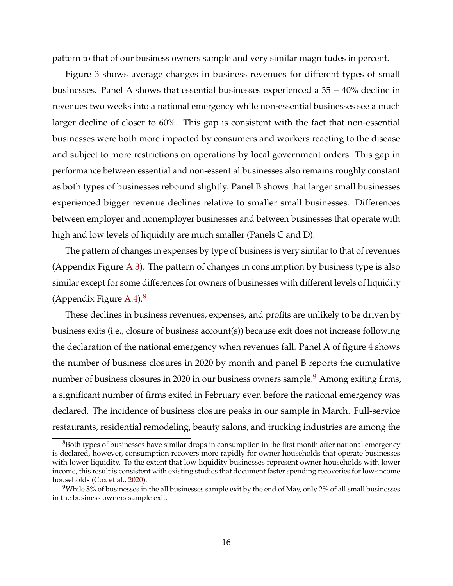pattern to that of our business owners sample and very similar magnitudes in percent.

Figure [3](#page-45-0) shows average changes in business revenues for different types of small businesses. Panel A shows that essential businesses experienced a  $35 - 40\%$  decline in revenues two weeks into a national emergency while non-essential businesses see a much larger decline of closer to 60%. This gap is consistent with the fact that non-essential businesses were both more impacted by consumers and workers reacting to the disease and subject to more restrictions on operations by local government orders. This gap in performance between essential and non-essential businesses also remains roughly constant as both types of businesses rebound slightly. Panel B shows that larger small businesses experienced bigger revenue declines relative to smaller small businesses. Differences between employer and nonemployer businesses and between businesses that operate with high and low levels of liquidity are much smaller (Panels C and D).

The pattern of changes in expenses by type of business is very similar to that of revenues (Appendix Figure A.3). The pattern of changes in consumption by business type is also similar except for some differences for owners of businesses with different levels of liquidity (Appendix Figure  $A.4$ ).<sup>[8](#page-17-0)</sup>

These declines in business revenues, expenses, and profits are unlikely to be driven by business exits (i.e., closure of business account(s)) because exit does not increase following the declaration of the national emergency when revenues fall. Panel A of figure [4](#page-46-0) shows the number of business closures in 2020 by month and panel B reports the cumulative number of business closures in 2020 in our business owners sample.<sup>[9](#page-17-1)</sup> Among exiting firms, a significant number of firms exited in February even before the national emergency was declared. The incidence of business closure peaks in our sample in March. Full-service restaurants, residential remodeling, beauty salons, and trucking industries are among the

<span id="page-17-0"></span> $88$ Both types of businesses have similar drops in consumption in the first month after national emergency is declared, however, consumption recovers more rapidly for owner households that operate businesses with lower liquidity. To the extent that low liquidity businesses represent owner households with lower income, this result is consistent with existing studies that document faster spending recoveries for low-income households [\(Cox et al.,](#page-34-5) [2020\)](#page-34-5).

<span id="page-17-1"></span><sup>&</sup>lt;sup>9</sup>While 8% of businesses in the all businesses sample exit by the end of May, only 2% of all small businesses in the business owners sample exit.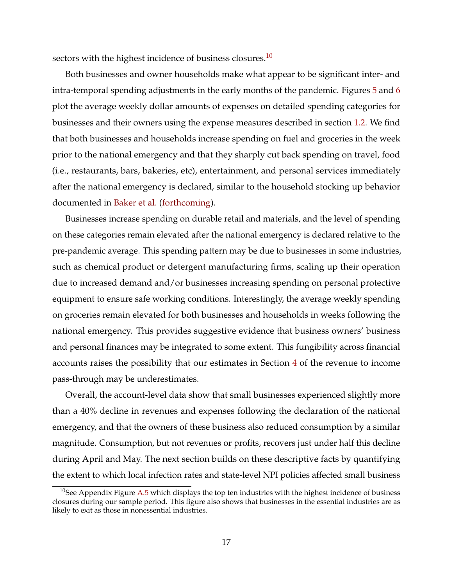sectors with the highest incidence of business closures.<sup>[10](#page-18-0)</sup>

Both businesses and owner households make what appear to be significant inter- and intra-temporal spending adjustments in the early months of the pandemic. Figures [5](#page-47-0) and [6](#page-48-0) plot the average weekly dollar amounts of expenses on detailed spending categories for businesses and their owners using the expense measures described in section [1.2.](#page-11-1) We find that both businesses and households increase spending on fuel and groceries in the week prior to the national emergency and that they sharply cut back spending on travel, food (i.e., restaurants, bars, bakeries, etc), entertainment, and personal services immediately after the national emergency is declared, similar to the household stocking up behavior documented in [Baker et al.](#page-34-10) [\(forthcoming\)](#page-34-10).

Businesses increase spending on durable retail and materials, and the level of spending on these categories remain elevated after the national emergency is declared relative to the pre-pandemic average. This spending pattern may be due to businesses in some industries, such as chemical product or detergent manufacturing firms, scaling up their operation due to increased demand and/or businesses increasing spending on personal protective equipment to ensure safe working conditions. Interestingly, the average weekly spending on groceries remain elevated for both businesses and households in weeks following the national emergency. This provides suggestive evidence that business owners' business and personal finances may be integrated to some extent. This fungibility across financial accounts raises the possibility that our estimates in Section [4](#page-25-0) of the revenue to income pass-through may be underestimates.

Overall, the account-level data show that small businesses experienced slightly more than a 40% decline in revenues and expenses following the declaration of the national emergency, and that the owners of these business also reduced consumption by a similar magnitude. Consumption, but not revenues or profits, recovers just under half this decline during April and May. The next section builds on these descriptive facts by quantifying the extent to which local infection rates and state-level NPI policies affected small business

<span id="page-18-0"></span> $10$ See Appendix Figure A.5 which displays the top ten industries with the highest incidence of business closures during our sample period. This figure also shows that businesses in the essential industries are as likely to exit as those in nonessential industries.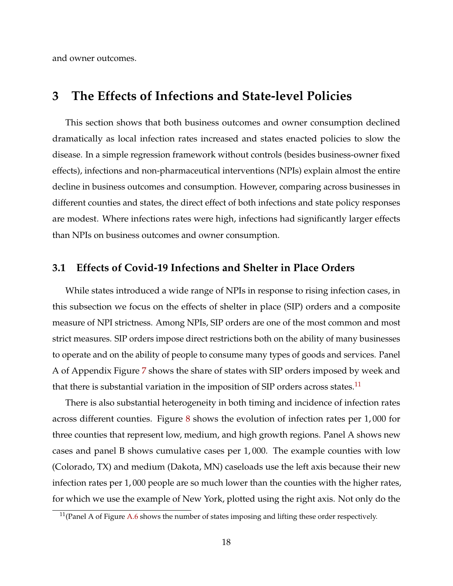and owner outcomes.

# <span id="page-19-0"></span>**3 The Effects of Infections and State-level Policies**

This section shows that both business outcomes and owner consumption declined dramatically as local infection rates increased and states enacted policies to slow the disease. In a simple regression framework without controls (besides business-owner fixed effects), infections and non-pharmaceutical interventions (NPIs) explain almost the entire decline in business outcomes and consumption. However, comparing across businesses in different counties and states, the direct effect of both infections and state policy responses are modest. Where infections rates were high, infections had significantly larger effects than NPIs on business outcomes and owner consumption.

## **3.1 Effects of Covid-19 Infections and Shelter in Place Orders**

While states introduced a wide range of NPIs in response to rising infection cases, in this subsection we focus on the effects of shelter in place (SIP) orders and a composite measure of NPI strictness. Among NPIs, SIP orders are one of the most common and most strict measures. SIP orders impose direct restrictions both on the ability of many businesses to operate and on the ability of people to consume many types of goods and services. Panel A of Appendix Figure [7](#page-49-0) shows the share of states with SIP orders imposed by week and that there is substantial variation in the imposition of SIP orders across states.<sup>[11](#page-19-1)</sup>

There is also substantial heterogeneity in both timing and incidence of infection rates across different counties. Figure [8](#page-50-0) shows the evolution of infection rates per 1, 000 for three counties that represent low, medium, and high growth regions. Panel A shows new cases and panel B shows cumulative cases per 1, 000. The example counties with low (Colorado, TX) and medium (Dakota, MN) caseloads use the left axis because their new infection rates per 1, 000 people are so much lower than the counties with the higher rates, for which we use the example of New York, plotted using the right axis. Not only do the

<span id="page-19-1"></span> $11$ (Panel A of Figure A.6 shows the number of states imposing and lifting these order respectively.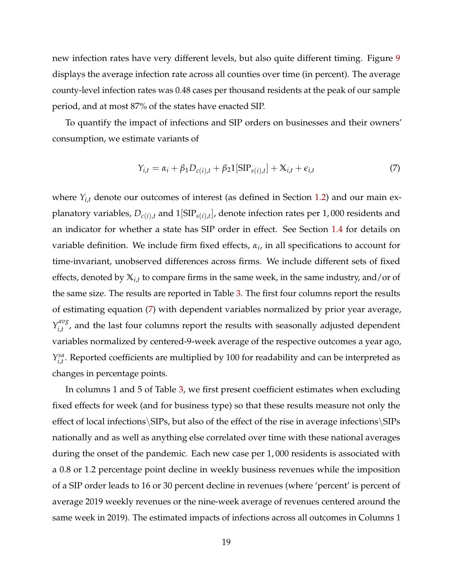new infection rates have very different levels, but also quite different timing. Figure [9](#page-51-0) displays the average infection rate across all counties over time (in percent). The average county-level infection rates was 0.48 cases per thousand residents at the peak of our sample period, and at most 87% of the states have enacted SIP.

To quantify the impact of infections and SIP orders on businesses and their owners' consumption, we estimate variants of

<span id="page-20-0"></span>
$$
Y_{i,t} = \alpha_i + \beta_1 D_{c(i),t} + \beta_2 1[\text{SIP}_{s(i),t}] + X_{i,t} + \epsilon_{i,t}
$$
 (7)

where  $Y_{i,t}$  denote our outcomes of interest (as defined in Section [1.2\)](#page-11-1) and our main explanatory variables,  $D_{c(i),t}$  and  $\mathbb{1}[\mathrm{SIP}_{s(i),t}]$ , denote infection rates per  $1,000$  residents and an indicator for whether a state has SIP order in effect. See Section [1.4](#page-15-0) for details on variable definition. We include firm fixed effects, *α<sup>i</sup>* , in all specifications to account for time-invariant, unobserved differences across firms. We include different sets of fixed effects, denoted by **X***i*,*<sup>t</sup>* to compare firms in the same week, in the same industry, and/or of the same size. The results are reported in Table [3.](#page-38-0) The first four columns report the results of estimating equation [\(7\)](#page-20-0) with dependent variables normalized by prior year average,  $Y_{i}^{avg}$  $\sum_{i,t}^{uv}$ , and the last four columns report the results with seasonally adjusted dependent variables normalized by centered-9-week average of the respective outcomes a year ago, *Y sa*  $\mathcal{E}_{i,t}^{sa}$ . Reported coefficients are multiplied by 100 for readability and can be interpreted as changes in percentage points.

In columns 1 and 5 of Table [3,](#page-38-0) we first present coefficient estimates when excluding fixed effects for week (and for business type) so that these results measure not only the effect of local infections\SIPs, but also of the effect of the rise in average infections\SIPs nationally and as well as anything else correlated over time with these national averages during the onset of the pandemic. Each new case per 1, 000 residents is associated with a 0.8 or 1.2 percentage point decline in weekly business revenues while the imposition of a SIP order leads to 16 or 30 percent decline in revenues (where 'percent' is percent of average 2019 weekly revenues or the nine-week average of revenues centered around the same week in 2019). The estimated impacts of infections across all outcomes in Columns 1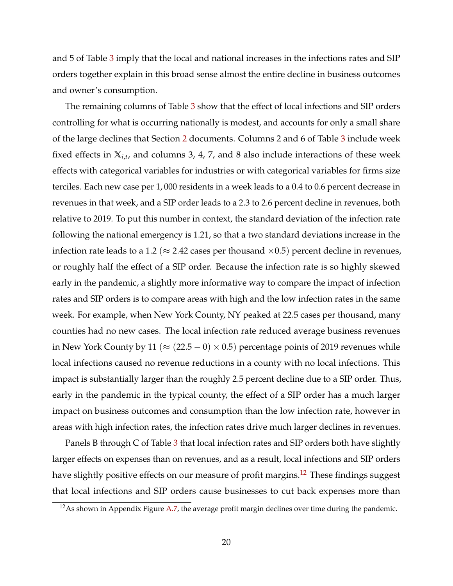and 5 of Table [3](#page-38-0) imply that the local and national increases in the infections rates and SIP orders together explain in this broad sense almost the entire decline in business outcomes and owner's consumption.

The remaining columns of Table [3](#page-38-0) show that the effect of local infections and SIP orders controlling for what is occurring nationally is modest, and accounts for only a small share of the large declines that Section [2](#page-16-0) documents. Columns 2 and 6 of Table [3](#page-38-0) include week fixed effects in **X***i*,*<sup>t</sup>* , and columns 3, 4, 7, and 8 also include interactions of these week effects with categorical variables for industries or with categorical variables for firms size terciles. Each new case per 1, 000 residents in a week leads to a 0.4 to 0.6 percent decrease in revenues in that week, and a SIP order leads to a 2.3 to 2.6 percent decline in revenues, both relative to 2019. To put this number in context, the standard deviation of the infection rate following the national emergency is 1.21, so that a two standard deviations increase in the infection rate leads to a 1.2 ( $\approx$  2.42 cases per thousand  $\times$ 0.5) percent decline in revenues, or roughly half the effect of a SIP order. Because the infection rate is so highly skewed early in the pandemic, a slightly more informative way to compare the impact of infection rates and SIP orders is to compare areas with high and the low infection rates in the same week. For example, when New York County, NY peaked at 22.5 cases per thousand, many counties had no new cases. The local infection rate reduced average business revenues in New York County by 11 ( $\approx$  (22.5 – 0)  $\times$  0.5) percentage points of 2019 revenues while local infections caused no revenue reductions in a county with no local infections. This impact is substantially larger than the roughly 2.5 percent decline due to a SIP order. Thus, early in the pandemic in the typical county, the effect of a SIP order has a much larger impact on business outcomes and consumption than the low infection rate, however in areas with high infection rates, the infection rates drive much larger declines in revenues.

Panels B through C of Table [3](#page-38-0) that local infection rates and SIP orders both have slightly larger effects on expenses than on revenues, and as a result, local infections and SIP orders have slightly positive effects on our measure of profit margins.<sup>[12](#page-21-0)</sup> These findings suggest that local infections and SIP orders cause businesses to cut back expenses more than

<span id="page-21-0"></span> $12$ As shown in Appendix Figure A.7, the average profit margin declines over time during the pandemic.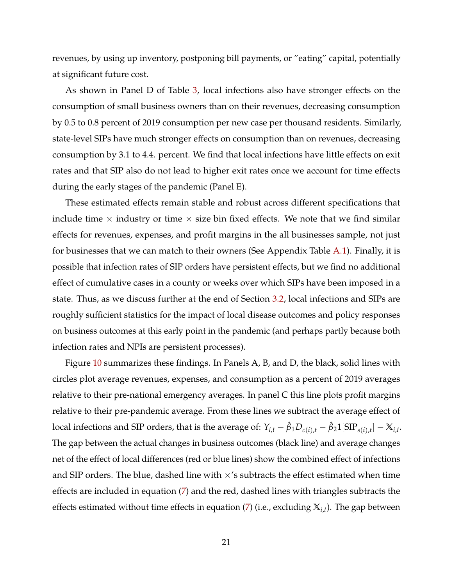revenues, by using up inventory, postponing bill payments, or "eating" capital, potentially at significant future cost.

As shown in Panel D of Table [3,](#page-38-0) local infections also have stronger effects on the consumption of small business owners than on their revenues, decreasing consumption by 0.5 to 0.8 percent of 2019 consumption per new case per thousand residents. Similarly, state-level SIPs have much stronger effects on consumption than on revenues, decreasing consumption by 3.1 to 4.4. percent. We find that local infections have little effects on exit rates and that SIP also do not lead to higher exit rates once we account for time effects during the early stages of the pandemic (Panel E).

These estimated effects remain stable and robust across different specifications that include time  $\times$  industry or time  $\times$  size bin fixed effects. We note that we find similar effects for revenues, expenses, and profit margins in the all businesses sample, not just for businesses that we can match to their owners (See Appendix Table A.1). Finally, it is possible that infection rates of SIP orders have persistent effects, but we find no additional effect of cumulative cases in a county or weeks over which SIPs have been imposed in a state. Thus, as we discuss further at the end of Section [3.2,](#page-23-0) local infections and SIPs are roughly sufficient statistics for the impact of local disease outcomes and policy responses on business outcomes at this early point in the pandemic (and perhaps partly because both infection rates and NPIs are persistent processes).

Figure [10](#page-52-0) summarizes these findings. In Panels A, B, and D, the black, solid lines with circles plot average revenues, expenses, and consumption as a percent of 2019 averages relative to their pre-national emergency averages. In panel C this line plots profit margins relative to their pre-pandemic average. From these lines we subtract the average effect of  $\int$  local infections and SIP orders, that is the average of:  $Y_{i,t} - \hat\beta_1D_{c(i),t} - \hat\beta_21[\text{SIP}_{s(i),t}] - \mathbb{X}_{i,t}.$ The gap between the actual changes in business outcomes (black line) and average changes net of the effect of local differences (red or blue lines) show the combined effect of infections and SIP orders. The blue, dashed line with  $\times$ 's subtracts the effect estimated when time effects are included in equation [\(7\)](#page-20-0) and the red, dashed lines with triangles subtracts the effects estimated without time effects in equation [\(7\)](#page-20-0) (i.e., excluding **X***i*,*<sup>t</sup>* ). The gap between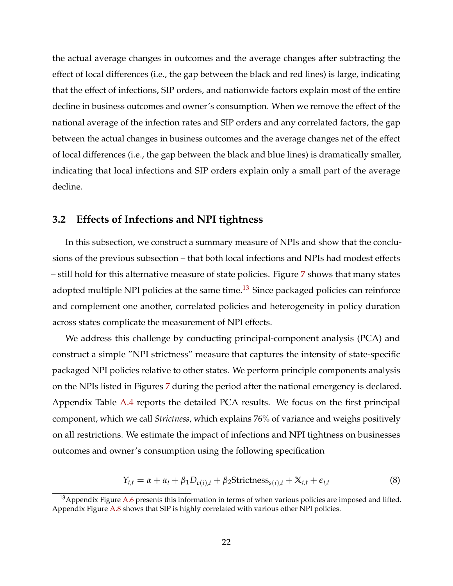the actual average changes in outcomes and the average changes after subtracting the effect of local differences (i.e., the gap between the black and red lines) is large, indicating that the effect of infections, SIP orders, and nationwide factors explain most of the entire decline in business outcomes and owner's consumption. When we remove the effect of the national average of the infection rates and SIP orders and any correlated factors, the gap between the actual changes in business outcomes and the average changes net of the effect of local differences (i.e., the gap between the black and blue lines) is dramatically smaller, indicating that local infections and SIP orders explain only a small part of the average decline.

# <span id="page-23-0"></span>**3.2 Effects of Infections and NPI tightness**

In this subsection, we construct a summary measure of NPIs and show that the conclusions of the previous subsection – that both local infections and NPIs had modest effects – still hold for this alternative measure of state policies. Figure [7](#page-49-0) shows that many states adopted multiple NPI policies at the same time.<sup>[13](#page-23-1)</sup> Since packaged policies can reinforce and complement one another, correlated policies and heterogeneity in policy duration across states complicate the measurement of NPI effects.

We address this challenge by conducting principal-component analysis (PCA) and construct a simple "NPI strictness" measure that captures the intensity of state-specific packaged NPI policies relative to other states. We perform principle components analysis on the NPIs listed in Figures [7](#page-49-0) during the period after the national emergency is declared. Appendix Table A.4 reports the detailed PCA results. We focus on the first principal component, which we call *Strictness*, which explains 76% of variance and weighs positively on all restrictions. We estimate the impact of infections and NPI tightness on businesses outcomes and owner's consumption using the following specification

$$
Y_{i,t} = \alpha + \alpha_i + \beta_1 D_{c(i),t} + \beta_2 \text{Strictness}_{s(i),t} + X_{i,t} + \epsilon_{i,t}
$$
\n
$$
(8)
$$

<span id="page-23-1"></span> $13$ Appendix Figure A.6 presents this information in terms of when various policies are imposed and lifted. Appendix Figure A.8 shows that SIP is highly correlated with various other NPI policies.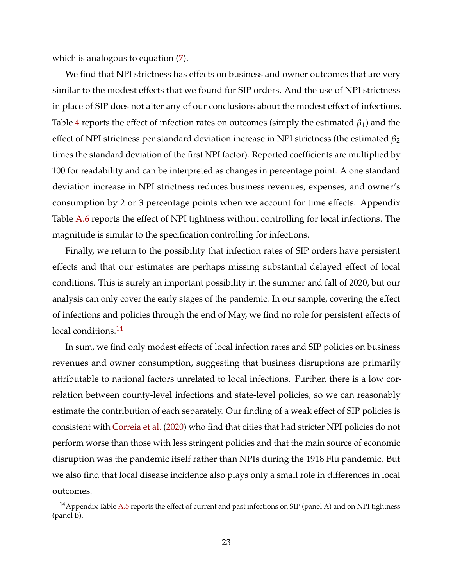which is analogous to equation [\(7\)](#page-20-0).

We find that NPI strictness has effects on business and owner outcomes that are very similar to the modest effects that we found for SIP orders. And the use of NPI strictness in place of SIP does not alter any of our conclusions about the modest effect of infections. Table [4](#page-39-0) reports the effect of infection rates on outcomes (simply the estimated  $\beta_1$ ) and the effect of NPI strictness per standard deviation increase in NPI strictness (the estimated *β*<sup>2</sup> times the standard deviation of the first NPI factor). Reported coefficients are multiplied by 100 for readability and can be interpreted as changes in percentage point. A one standard deviation increase in NPI strictness reduces business revenues, expenses, and owner's consumption by 2 or 3 percentage points when we account for time effects. Appendix Table A.6 reports the effect of NPI tightness without controlling for local infections. The magnitude is similar to the specification controlling for infections.

Finally, we return to the possibility that infection rates of SIP orders have persistent effects and that our estimates are perhaps missing substantial delayed effect of local conditions. This is surely an important possibility in the summer and fall of 2020, but our analysis can only cover the early stages of the pandemic. In our sample, covering the effect of infections and policies through the end of May, we find no role for persistent effects of local conditions.<sup>[14](#page-24-0)</sup>

In sum, we find only modest effects of local infection rates and SIP policies on business revenues and owner consumption, suggesting that business disruptions are primarily attributable to national factors unrelated to local infections. Further, there is a low correlation between county-level infections and state-level policies, so we can reasonably estimate the contribution of each separately. Our finding of a weak effect of SIP policies is consistent with [Correia et al.](#page-34-4) [\(2020\)](#page-34-4) who find that cities that had stricter NPI policies do not perform worse than those with less stringent policies and that the main source of economic disruption was the pandemic itself rather than NPIs during the 1918 Flu pandemic. But we also find that local disease incidence also plays only a small role in differences in local outcomes.

<span id="page-24-0"></span><sup>&</sup>lt;sup>14</sup> Appendix Table A.5 reports the effect of current and past infections on SIP (panel A) and on NPI tightness (panel B).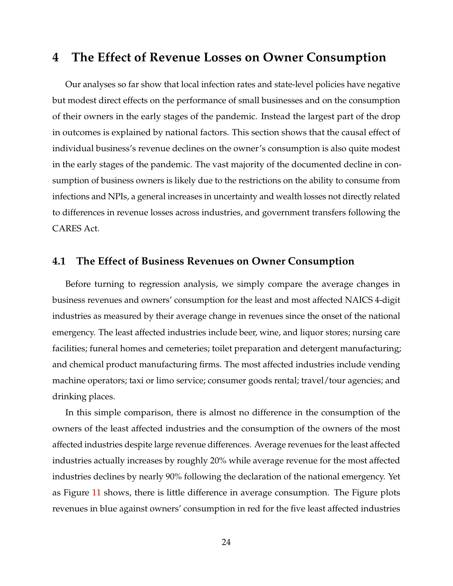# <span id="page-25-0"></span>**4 The Effect of Revenue Losses on Owner Consumption**

Our analyses so far show that local infection rates and state-level policies have negative but modest direct effects on the performance of small businesses and on the consumption of their owners in the early stages of the pandemic. Instead the largest part of the drop in outcomes is explained by national factors. This section shows that the causal effect of individual business's revenue declines on the owner's consumption is also quite modest in the early stages of the pandemic. The vast majority of the documented decline in consumption of business owners is likely due to the restrictions on the ability to consume from infections and NPIs, a general increases in uncertainty and wealth losses not directly related to differences in revenue losses across industries, and government transfers following the CARES Act.

## **4.1 The Effect of Business Revenues on Owner Consumption**

Before turning to regression analysis, we simply compare the average changes in business revenues and owners' consumption for the least and most affected NAICS 4-digit industries as measured by their average change in revenues since the onset of the national emergency. The least affected industries include beer, wine, and liquor stores; nursing care facilities; funeral homes and cemeteries; toilet preparation and detergent manufacturing; and chemical product manufacturing firms. The most affected industries include vending machine operators; taxi or limo service; consumer goods rental; travel/tour agencies; and drinking places.

In this simple comparison, there is almost no difference in the consumption of the owners of the least affected industries and the consumption of the owners of the most affected industries despite large revenue differences. Average revenues for the least affected industries actually increases by roughly 20% while average revenue for the most affected industries declines by nearly 90% following the declaration of the national emergency. Yet as Figure [11](#page-53-0) shows, there is little difference in average consumption. The Figure plots revenues in blue against owners' consumption in red for the five least affected industries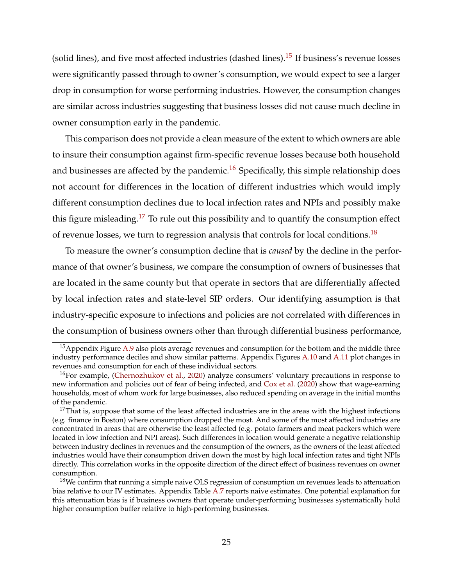(solid lines), and five most affected industries (dashed lines).<sup>[15](#page-26-0)</sup> If business's revenue losses were significantly passed through to owner's consumption, we would expect to see a larger drop in consumption for worse performing industries. However, the consumption changes are similar across industries suggesting that business losses did not cause much decline in owner consumption early in the pandemic.

This comparison does not provide a clean measure of the extent to which owners are able to insure their consumption against firm-specific revenue losses because both household and businesses are affected by the pandemic.<sup>[16](#page-26-1)</sup> Specifically, this simple relationship does not account for differences in the location of different industries which would imply different consumption declines due to local infection rates and NPIs and possibly make this figure misleading.<sup>[17](#page-26-2)</sup> To rule out this possibility and to quantify the consumption effect of revenue losses, we turn to regression analysis that controls for local conditions.<sup>[18](#page-26-3)</sup>

To measure the owner's consumption decline that is *caused* by the decline in the performance of that owner's business, we compare the consumption of owners of businesses that are located in the same county but that operate in sectors that are differentially affected by local infection rates and state-level SIP orders. Our identifying assumption is that industry-specific exposure to infections and policies are not correlated with differences in the consumption of business owners other than through differential business performance,

<span id="page-26-0"></span><sup>&</sup>lt;sup>15</sup> Appendix Figure A.9 also plots average revenues and consumption for the bottom and the middle three industry performance deciles and show similar patterns. Appendix Figures A.10 and A.11 plot changes in revenues and consumption for each of these individual sectors.

<span id="page-26-1"></span> $16$ For example, [\(Chernozhukov et al.,](#page-34-11) [2020\)](#page-34-11) analyze consumers' voluntary precautions in response to new information and policies out of fear of being infected, and [Cox et al.](#page-34-5) [\(2020\)](#page-34-5) show that wage-earning households, most of whom work for large businesses, also reduced spending on average in the initial months of the pandemic.

<span id="page-26-2"></span> $17$ That is, suppose that some of the least affected industries are in the areas with the highest infections (e.g. finance in Boston) where consumption dropped the most. And some of the most affected industries are concentrated in areas that are otherwise the least affected (e.g. potato farmers and meat packers which were located in low infection and NPI areas). Such differences in location would generate a negative relationship between industry declines in revenues and the consumption of the owners, as the owners of the least affected industries would have their consumption driven down the most by high local infection rates and tight NPIs directly. This correlation works in the opposite direction of the direct effect of business revenues on owner consumption.

<span id="page-26-3"></span><sup>&</sup>lt;sup>18</sup>We confirm that running a simple naive OLS regression of consumption on revenues leads to attenuation bias relative to our IV estimates. Appendix Table A.7 reports naive estimates. One potential explanation for this attenuation bias is if business owners that operate under-performing businesses systematically hold higher consumption buffer relative to high-performing businesses.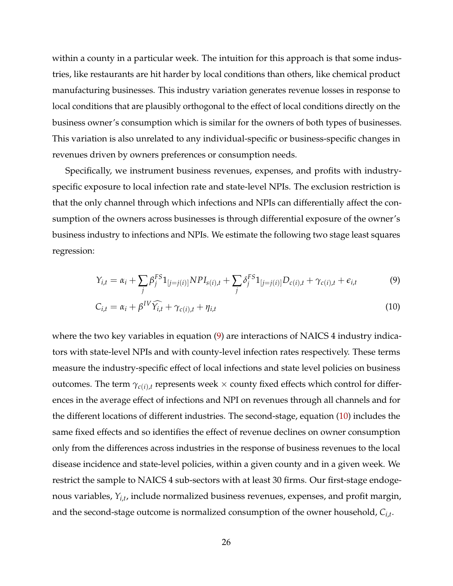within a county in a particular week. The intuition for this approach is that some industries, like restaurants are hit harder by local conditions than others, like chemical product manufacturing businesses. This industry variation generates revenue losses in response to local conditions that are plausibly orthogonal to the effect of local conditions directly on the business owner's consumption which is similar for the owners of both types of businesses. This variation is also unrelated to any individual-specific or business-specific changes in revenues driven by owners preferences or consumption needs.

Specifically, we instrument business revenues, expenses, and profits with industryspecific exposure to local infection rate and state-level NPIs. The exclusion restriction is that the only channel through which infections and NPIs can differentially affect the consumption of the owners across businesses is through differential exposure of the owner's business industry to infections and NPIs. We estimate the following two stage least squares regression:

<span id="page-27-1"></span><span id="page-27-0"></span>
$$
Y_{i,t} = \alpha_i + \sum_j \beta_j^{FS} 1_{[j=j(i)]} NPI_{s(i),t} + \sum_j \delta_j^{FS} 1_{[j=j(i)]} D_{c(i),t} + \gamma_{c(i),t} + \epsilon_{i,t}
$$
(9)

$$
C_{i,t} = \alpha_i + \beta^{IV} \widehat{Y_{i,t}} + \gamma_{c(i),t} + \eta_{i,t}
$$
\n
$$
(10)
$$

where the two key variables in equation [\(9\)](#page-27-0) are interactions of NAICS 4 industry indicators with state-level NPIs and with county-level infection rates respectively. These terms measure the industry-specific effect of local infections and state level policies on business outcomes. The term  $\gamma_{c(i),t}$  represents week  $\times$  county fixed effects which control for differences in the average effect of infections and NPI on revenues through all channels and for the different locations of different industries. The second-stage, equation [\(10\)](#page-27-1) includes the same fixed effects and so identifies the effect of revenue declines on owner consumption only from the differences across industries in the response of business revenues to the local disease incidence and state-level policies, within a given county and in a given week. We restrict the sample to NAICS 4 sub-sectors with at least 30 firms. Our first-stage endogenous variables, *Yi*,*<sup>t</sup>* , include normalized business revenues, expenses, and profit margin, and the second-stage outcome is normalized consumption of the owner household, *Ci*,*<sup>t</sup>* .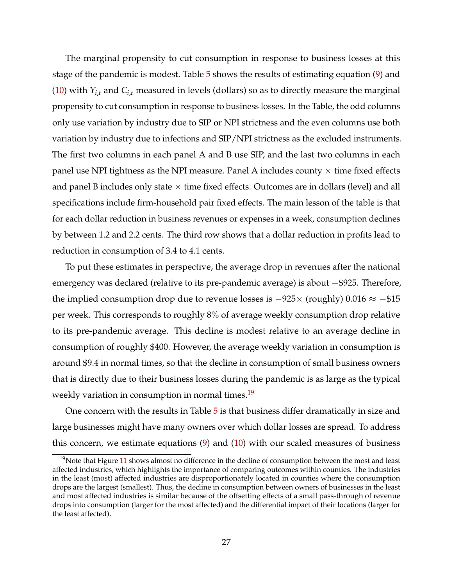The marginal propensity to cut consumption in response to business losses at this stage of the pandemic is modest. Table [5](#page-40-0) shows the results of estimating equation [\(9\)](#page-27-0) and [\(10\)](#page-27-1) with  $Y_{i,t}$  and  $C_{i,t}$  measured in levels (dollars) so as to directly measure the marginal propensity to cut consumption in response to business losses. In the Table, the odd columns only use variation by industry due to SIP or NPI strictness and the even columns use both variation by industry due to infections and SIP/NPI strictness as the excluded instruments. The first two columns in each panel A and B use SIP, and the last two columns in each panel use NPI tightness as the NPI measure. Panel A includes county  $\times$  time fixed effects and panel B includes only state  $\times$  time fixed effects. Outcomes are in dollars (level) and all specifications include firm-household pair fixed effects. The main lesson of the table is that for each dollar reduction in business revenues or expenses in a week, consumption declines by between 1.2 and 2.2 cents. The third row shows that a dollar reduction in profits lead to reduction in consumption of 3.4 to 4.1 cents.

To put these estimates in perspective, the average drop in revenues after the national emergency was declared (relative to its pre-pandemic average) is about −\$925. Therefore, the implied consumption drop due to revenue losses is  $-925\times$  (roughly) 0.016  $\approx -\$15$ per week. This corresponds to roughly 8% of average weekly consumption drop relative to its pre-pandemic average. This decline is modest relative to an average decline in consumption of roughly \$400. However, the average weekly variation in consumption is around \$9.4 in normal times, so that the decline in consumption of small business owners that is directly due to their business losses during the pandemic is as large as the typical weekly variation in consumption in normal times.<sup>[19](#page-28-0)</sup>

One concern with the results in Table [5](#page-40-0) is that business differ dramatically in size and large businesses might have many owners over which dollar losses are spread. To address this concern, we estimate equations  $(9)$  and  $(10)$  with our scaled measures of business

<span id="page-28-0"></span> $19$ Note that Figure [11](#page-53-0) shows almost no difference in the decline of consumption between the most and least affected industries, which highlights the importance of comparing outcomes within counties. The industries in the least (most) affected industries are disproportionately located in counties where the consumption drops are the largest (smallest). Thus, the decline in consumption between owners of businesses in the least and most affected industries is similar because of the offsetting effects of a small pass-through of revenue drops into consumption (larger for the most affected) and the differential impact of their locations (larger for the least affected).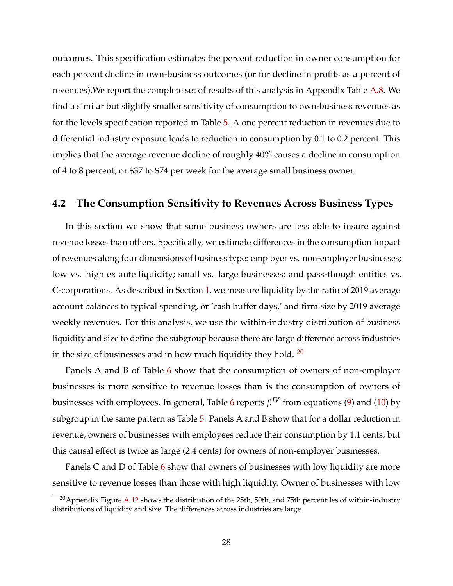outcomes. This specification estimates the percent reduction in owner consumption for each percent decline in own-business outcomes (or for decline in profits as a percent of revenues).We report the complete set of results of this analysis in Appendix Table A.8. We find a similar but slightly smaller sensitivity of consumption to own-business revenues as for the levels specification reported in Table [5.](#page-40-0) A one percent reduction in revenues due to differential industry exposure leads to reduction in consumption by 0.1 to 0.2 percent. This implies that the average revenue decline of roughly 40% causes a decline in consumption of 4 to 8 percent, or \$37 to \$74 per week for the average small business owner.

## **4.2 The Consumption Sensitivity to Revenues Across Business Types**

In this section we show that some business owners are less able to insure against revenue losses than others. Specifically, we estimate differences in the consumption impact of revenues along four dimensions of business type: employer vs. non-employer businesses; low vs. high ex ante liquidity; small vs. large businesses; and pass-though entities vs. C-corporations. As described in Section [1,](#page-8-0) we measure liquidity by the ratio of 2019 average account balances to typical spending, or 'cash buffer days,' and firm size by 2019 average weekly revenues. For this analysis, we use the within-industry distribution of business liquidity and size to define the subgroup because there are large difference across industries in the size of businesses and in how much liquidity they hold.  $20$ 

Panels A and B of Table [6](#page-41-0) show that the consumption of owners of non-employer businesses is more sensitive to revenue losses than is the consumption of owners of businesses with employees. In general, Table [6](#page-41-0) reports *β IV* from equations [\(9\)](#page-27-0) and [\(10\)](#page-27-1) by subgroup in the same pattern as Table [5.](#page-40-0) Panels A and B show that for a dollar reduction in revenue, owners of businesses with employees reduce their consumption by 1.1 cents, but this causal effect is twice as large (2.4 cents) for owners of non-employer businesses.

Panels C and D of Table [6](#page-41-0) show that owners of businesses with low liquidity are more sensitive to revenue losses than those with high liquidity. Owner of businesses with low

<span id="page-29-0"></span><sup>&</sup>lt;sup>20</sup> Appendix Figure A.12 shows the distribution of the 25th, 50th, and 75th percentiles of within-industry distributions of liquidity and size. The differences across industries are large.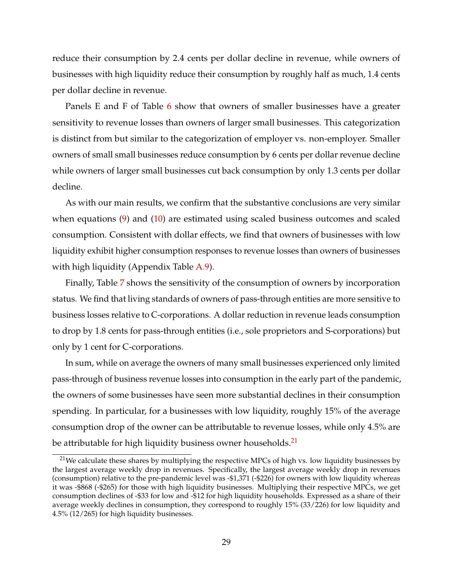reduce their consumption by 2.4 cents per dollar decline in revenue, while owners of businesses with high liquidity reduce their consumption by roughly half as much, 1.4 cents per dollar decline in revenue.

Panels E and F of Table [6](#page-41-0) show that owners of smaller businesses have a greater sensitivity to revenue losses than owners of larger small businesses. This categorization is distinct from but similar to the categorization of employer vs. non-employer. Smaller owners of small small businesses reduce consumption by 6 cents per dollar revenue decline while owners of larger small businesses cut back consumption by only 1.3 cents per dollar decline.

As with our main results, we confirm that the substantive conclusions are very similar when equations [\(9\)](#page-27-0) and [\(10\)](#page-27-1) are estimated using scaled business outcomes and scaled consumption. Consistent with dollar effects, we find that owners of businesses with low liquidity exhibit higher consumption responses to revenue losses than owners of businesses with high liquidity (Appendix Table A.9).

Finally, Table [7](#page-42-0) shows the sensitivity of the consumption of owners by incorporation status. We find that living standards of owners of pass-through entities are more sensitive to business losses relative to C-corporations. A dollar reduction in revenue leads consumption to drop by 1.8 cents for pass-through entities (i.e., sole proprietors and S-corporations) but only by 1 cent for C-corporations.

In sum, while on average the owners of many small businesses experienced only limited pass-through of business revenue losses into consumption in the early part of the pandemic, the owners of some businesses have seen more substantial declines in their consumption spending. In particular, for a businesses with low liquidity, roughly 15% of the average consumption drop of the owner can be attributable to revenue losses, while only 4.5% are be attributable for high liquidity business owner households.<sup>[21](#page-30-0)</sup>

<span id="page-30-0"></span><sup>&</sup>lt;sup>21</sup>We calculate these shares by multiplying the respective MPCs of high vs. low liquidity businesses by the largest average weekly drop in revenues. Specifically, the largest average weekly drop in revenues (consumption) relative to the pre-pandemic level was -\$1,371 (-\$226) for owners with low liquidity whereas it was -\$868 (-\$265) for those with high liquidity businesses. Multiplying their respective MPCs, we get consumption declines of -\$33 for low and -\$12 for high liquidity households. Expressed as a share of their average weekly declines in consumption, they correspond to roughly 15% (33/226) for low liquidity and 4.5% (12/265) for high liquidity businesses.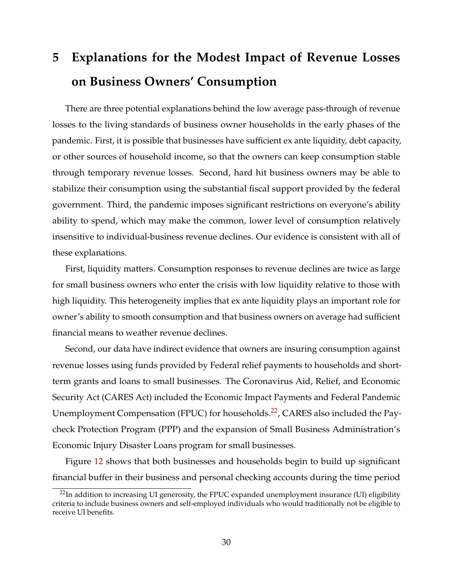# <span id="page-31-0"></span>**5 Explanations for the Modest Impact of Revenue Losses on Business Owners' Consumption**

There are three potential explanations behind the low average pass-through of revenue losses to the living standards of business owner households in the early phases of the pandemic. First, it is possible that businesses have sufficient ex ante liquidity, debt capacity, or other sources of household income, so that the owners can keep consumption stable through temporary revenue losses. Second, hard hit business owners may be able to stabilize their consumption using the substantial fiscal support provided by the federal government. Third, the pandemic imposes significant restrictions on everyone's ability ability to spend, which may make the common, lower level of consumption relatively insensitive to individual-business revenue declines. Our evidence is consistent with all of these explanations.

First, liquidity matters. Consumption responses to revenue declines are twice as large for small business owners who enter the crisis with low liquidity relative to those with high liquidity. This heterogeneity implies that ex ante liquidity plays an important role for owner's ability to smooth consumption and that business owners on average had sufficient financial means to weather revenue declines.

Second, our data have indirect evidence that owners are insuring consumption against revenue losses using funds provided by Federal relief payments to households and shortterm grants and loans to small businesses. The Coronavirus Aid, Relief, and Economic Security Act (CARES Act) included the Economic Impact Payments and Federal Pandemic Unemployment Compensation (FPUC) for households.<sup>[22](#page-31-1)</sup>, CARES also included the Paycheck Protection Program (PPP) and the expansion of Small Business Administration's Economic Injury Disaster Loans program for small businesses.

Figure [12](#page-54-0) shows that both businesses and households begin to build up significant financial buffer in their business and personal checking accounts during the time period

<span id="page-31-1"></span> $22$ In addition to increasing UI generosity, the FPUC expanded unemployment insurance (UI) eligibility criteria to include business owners and self-employed individuals who would traditionally not be eligible to receive UI benefits.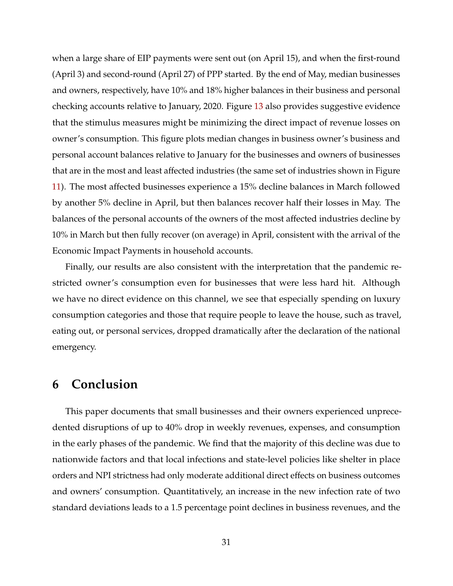when a large share of EIP payments were sent out (on April 15), and when the first-round (April 3) and second-round (April 27) of PPP started. By the end of May, median businesses and owners, respectively, have 10% and 18% higher balances in their business and personal checking accounts relative to January, 2020. Figure [13](#page-55-0) also provides suggestive evidence that the stimulus measures might be minimizing the direct impact of revenue losses on owner's consumption. This figure plots median changes in business owner's business and personal account balances relative to January for the businesses and owners of businesses that are in the most and least affected industries (the same set of industries shown in Figure [11\)](#page-53-0). The most affected businesses experience a 15% decline balances in March followed by another 5% decline in April, but then balances recover half their losses in May. The balances of the personal accounts of the owners of the most affected industries decline by 10% in March but then fully recover (on average) in April, consistent with the arrival of the Economic Impact Payments in household accounts.

Finally, our results are also consistent with the interpretation that the pandemic restricted owner's consumption even for businesses that were less hard hit. Although we have no direct evidence on this channel, we see that especially spending on luxury consumption categories and those that require people to leave the house, such as travel, eating out, or personal services, dropped dramatically after the declaration of the national emergency.

# <span id="page-32-0"></span>**6 Conclusion**

This paper documents that small businesses and their owners experienced unprecedented disruptions of up to 40% drop in weekly revenues, expenses, and consumption in the early phases of the pandemic. We find that the majority of this decline was due to nationwide factors and that local infections and state-level policies like shelter in place orders and NPI strictness had only moderate additional direct effects on business outcomes and owners' consumption. Quantitatively, an increase in the new infection rate of two standard deviations leads to a 1.5 percentage point declines in business revenues, and the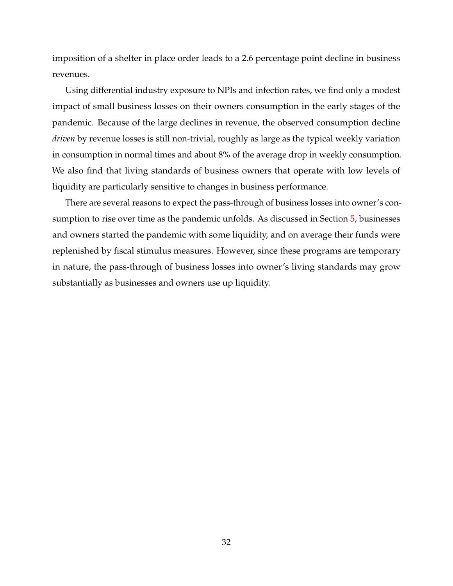imposition of a shelter in place order leads to a 2.6 percentage point decline in business revenues.

Using differential industry exposure to NPIs and infection rates, we find only a modest impact of small business losses on their owners consumption in the early stages of the pandemic. Because of the large declines in revenue, the observed consumption decline *driven* by revenue losses is still non-trivial, roughly as large as the typical weekly variation in consumption in normal times and about 8% of the average drop in weekly consumption. We also find that living standards of business owners that operate with low levels of liquidity are particularly sensitive to changes in business performance.

There are several reasons to expect the pass-through of business losses into owner's consumption to rise over time as the pandemic unfolds. As discussed in Section [5,](#page-31-0) businesses and owners started the pandemic with some liquidity, and on average their funds were replenished by fiscal stimulus measures. However, since these programs are temporary in nature, the pass-through of business losses into owner's living standards may grow substantially as businesses and owners use up liquidity.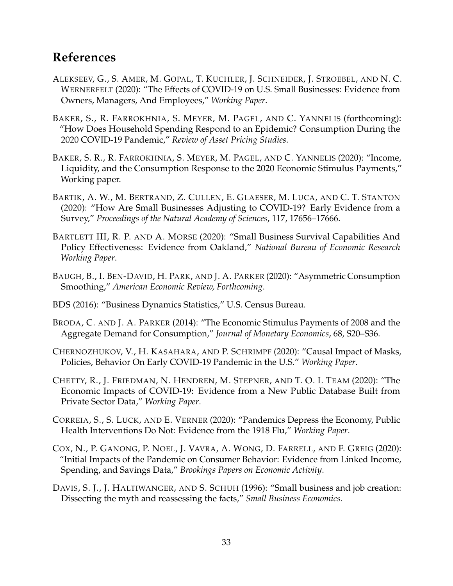# **References**

- <span id="page-34-6"></span>ALEKSEEV, G., S. AMER, M. GOPAL, T. KUCHLER, J. SCHNEIDER, J. STROEBEL, AND N. C. WERNERFELT (2020): "The Effects of COVID-19 on U.S. Small Businesses: Evidence from Owners, Managers, And Employees," *Working Paper*.
- <span id="page-34-10"></span>BAKER, S., R. FARROKHNIA, S. MEYER, M. PAGEL, AND C. YANNELIS (forthcoming): "How Does Household Spending Respond to an Epidemic? Consumption During the 2020 COVID-19 Pandemic," *Review of Asset Pricing Studies*.
- <span id="page-34-7"></span>BAKER, S. R., R. FARROKHNIA, S. MEYER, M. PAGEL, AND C. YANNELIS (2020): "Income, Liquidity, and the Consumption Response to the 2020 Economic Stimulus Payments," Working paper.
- <span id="page-34-1"></span>BARTIK, A. W., M. BERTRAND, Z. CULLEN, E. GLAESER, M. LUCA, AND C. T. STANTON (2020): "How Are Small Businesses Adjusting to COVID-19? Early Evidence from a Survey," *Proceedings of the Natural Academy of Sciences*, 117, 17656–17666.
- <span id="page-34-3"></span>BARTLETT III, R. P. AND A. MORSE (2020): "Small Business Survival Capabilities And Policy Effectiveness: Evidence from Oakland," *National Bureau of Economic Research Working Paper*.
- <span id="page-34-9"></span>BAUGH, B., I. BEN-DAVID, H. PARK, AND J. A. PARKER (2020): "Asymmetric Consumption Smoothing," *American Economic Review, Forthcoming*.
- <span id="page-34-12"></span>BDS (2016): "Business Dynamics Statistics," U.S. Census Bureau.
- <span id="page-34-8"></span>BRODA, C. AND J. A. PARKER (2014): "The Economic Stimulus Payments of 2008 and the Aggregate Demand for Consumption," *Journal of Monetary Economics*, 68, S20–S36.
- <span id="page-34-11"></span>CHERNOZHUKOV, V., H. KASAHARA, AND P. SCHRIMPF (2020): "Causal Impact of Masks, Policies, Behavior On Early COVID-19 Pandemic in the U.S." *Working Paper*.
- <span id="page-34-2"></span>CHETTY, R., J. FRIEDMAN, N. HENDREN, M. STEPNER, AND T. O. I. TEAM (2020): "The Economic Impacts of COVID-19: Evidence from a New Public Database Built from Private Sector Data," *Working Paper*.
- <span id="page-34-4"></span>CORREIA, S., S. LUCK, AND E. VERNER (2020): "Pandemics Depress the Economy, Public Health Interventions Do Not: Evidence from the 1918 Flu," *Working Paper*.
- <span id="page-34-5"></span>COX, N., P. GANONG, P. NOEL, J. VAVRA, A. WONG, D. FARRELL, AND F. GREIG (2020): "Initial Impacts of the Pandemic on Consumer Behavior: Evidence from Linked Income, Spending, and Savings Data," *Brookings Papers on Economic Activity*.
- <span id="page-34-0"></span>DAVIS, S. J., J. HALTIWANGER, AND S. SCHUH (1996): "Small business and job creation: Dissecting the myth and reassessing the facts," *Small Business Economics*.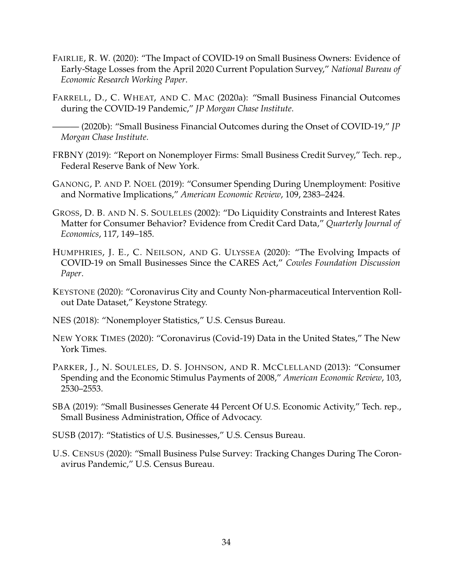- <span id="page-35-5"></span>FAIRLIE, R. W. (2020): "The Impact of COVID-19 on Small Business Owners: Evidence of Early-Stage Losses from the April 2020 Current Population Survey," *National Bureau of Economic Research Working Paper*.
- <span id="page-35-6"></span>FARRELL, D., C. WHEAT, AND C. MAC (2020a): "Small Business Financial Outcomes during the COVID-19 Pandemic," *JP Morgan Chase Institute*.

- <span id="page-35-1"></span>FRBNY (2019): "Report on Nonemployer Firms: Small Business Credit Survey," Tech. rep., Federal Reserve Bank of New York.
- <span id="page-35-9"></span>GANONG, P. AND P. NOEL (2019): "Consumer Spending During Unemployment: Positive and Normative Implications," *American Economic Review*, 109, 2383–2424.
- <span id="page-35-8"></span>GROSS, D. B. AND N. S. SOULELES (2002): "Do Liquidity Constraints and Interest Rates Matter for Consumer Behavior? Evidence from Credit Card Data," *Quarterly Journal of Economics*, 117, 149–185.
- <span id="page-35-4"></span>HUMPHRIES, J. E., C. NEILSON, AND G. ULYSSEA (2020): "The Evolving Impacts of COVID-19 on Small Businesses Since the CARES Act," *Cowles Foundation Discussion Paper*.
- <span id="page-35-11"></span>KEYSTONE (2020): "Coronavirus City and County Non-pharmaceutical Intervention Rollout Date Dataset," Keystone Strategy.
- <span id="page-35-13"></span>NES (2018): "Nonemployer Statistics," U.S. Census Bureau.
- <span id="page-35-10"></span>NEW YORK TIMES (2020): "Coronavirus (Covid-19) Data in the United States," The New York Times.
- <span id="page-35-7"></span>PARKER, J., N. SOULELES, D. S. JOHNSON, AND R. MCCLELLAND (2013): "Consumer Spending and the Economic Stimulus Payments of 2008," *American Economic Review*, 103, 2530–2553.
- <span id="page-35-0"></span>SBA (2019): "Small Businesses Generate 44 Percent Of U.S. Economic Activity," Tech. rep., Small Business Administration, Office of Advocacy.
- <span id="page-35-12"></span>SUSB (2017): "Statistics of U.S. Businesses," U.S. Census Bureau.
- <span id="page-35-3"></span>U.S. CENSUS (2020): "Small Business Pulse Survey: Tracking Changes During The Coronavirus Pandemic," U.S. Census Bureau.

<span id="page-35-2"></span><sup>——— (2020</sup>b): "Small Business Financial Outcomes during the Onset of COVID-19," *JP Morgan Chase Institute*.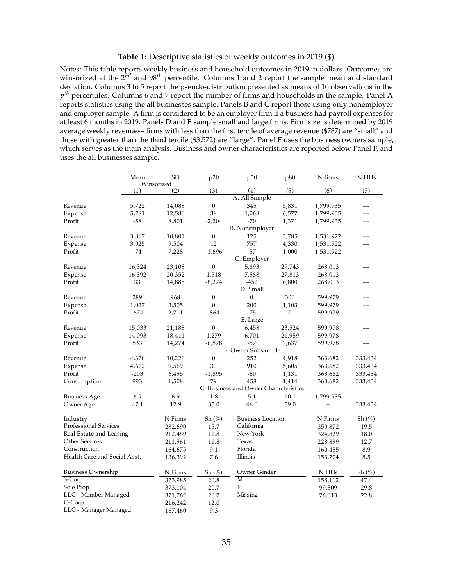### **Table 1:** Descriptive statistics of weekly outcomes in 2019 (\$)

<span id="page-36-0"></span>Notes: This table reports weekly business and household outcomes in 2019 in dollars. Outcomes are winsorized at the 2<sup>nd</sup> and 98<sup>th</sup> percentile. Columns 1 and 2 report the sample mean and standard deviation. Columns 3 to 5 report the pseudo-distribution presented as means of 10 observations in the *p th* percentiles. Columns 6 and 7 report the number of firms and households in the sample. Panel A reports statistics using the all businesses sample. Panels B and C report those using only nonemployer and employer sample. A firm is considered to be an employer firm if a business had payroll expenses for at least 6 months in 2019. Panels D and E sample small and large firms. Firm size is determined by 2019 average weekly revenues– firms with less than the first tercile of average revenue (\$787) are "small" and those with greater than the third tercile (\$3,572) are "large". Panel F uses the business owners sample, which serves as the main analysis. Business and owner characteristics are reported below Panel F, and uses the all businesses sample.

|                              | Mean   | SD         | p20                                       | p50                                   | p80          | N firms     | N HHs               |
|------------------------------|--------|------------|-------------------------------------------|---------------------------------------|--------------|-------------|---------------------|
|                              |        | Winsorized |                                           |                                       |              |             |                     |
|                              | (1)    | (2)        | (3)                                       | (4)                                   | (5)          | (6)         | (7)                 |
|                              |        |            |                                           | A. All Sample                         |              |             |                     |
| Revenue                      | 5,722  | 14,088     | $\boldsymbol{0}$                          | 345                                   | 5,831        | 1,799,935   | ---                 |
| Expense                      | 5,781  | 12,580     | 38                                        | 1,068                                 | 6,577        | 1,799,935   |                     |
| Profit                       | $-58$  | 8,801      | $-2,204$                                  | $-70$                                 | 1,371        | 1,799,935   |                     |
|                              |        |            |                                           | <b>B.</b> Nonemployer                 |              |             |                     |
| Revenue                      | 3,867  | 10,801     | $\boldsymbol{0}$                          | 125                                   | 3,785        | 1,531,922   |                     |
| Expense                      | 3,925  | 9,504      | 12                                        | 757                                   | 4,330        | 1,531,922   |                     |
| Profit                       | $-74$  | 7,228      | $-1,696$                                  | $-57$                                 | 1,000        | 1,531,922   |                     |
|                              |        |            |                                           | C. Employer                           |              |             |                     |
| Revenue                      | 16,324 | 23,108     | $\boldsymbol{0}$                          | 5,893                                 | 27,743       | 268,013     | ---                 |
| Expense                      | 16,392 | 20,352     | 1,518                                     | 7,588                                 | 27,813       | 268,013     | ---                 |
| Profit                       | 33     | 14,885     | $-8,274$                                  | $-452$                                | 6,800        | 268,013     | ---                 |
|                              |        |            |                                           | D. Small                              |              |             |                     |
| Revenue                      | 289    | 968        | $\boldsymbol{0}$                          | $\boldsymbol{0}$                      | 300          | 599,979     | ---                 |
| Expense                      | 1,027  | 3,505      | $\mathbf{0}$                              | 200                                   | 1,103        | 599,979     |                     |
| Profit                       | $-674$ | 2,711      | $-864$                                    | $-75$                                 | $\mathbf{0}$ | 599,979     | ---                 |
|                              |        |            |                                           | E. Large                              |              |             |                     |
| Revenue                      | 15,033 | 21,188     | 0                                         | 6,458                                 | 23,524       | 599,978     |                     |
| Expense                      | 14,093 | 18,411     | 1,279                                     | 6,701                                 | 21,959       | 599,978     |                     |
| Profit                       | 833    | 14,274     | $-6,878$                                  | $-57$                                 | 7,637        | 599,978     | $---$               |
|                              |        |            |                                           | F. Owner Subsample                    |              |             |                     |
| Revenue                      | 4,370  | 10,220     | $\boldsymbol{0}$                          | 252                                   | 4,918        | 363,682     | 333,434             |
| Expense                      | 4,612  | 9,569      | 30                                        | 910                                   | 5,605        | 363,682     | 333,434             |
| Profit                       | $-203$ | 6,495      | $-1,895$                                  | $-60$                                 | 1,131        | 363,682     | 333,434             |
| Consumption                  | 993    | 1,508      | 79                                        | 458                                   | 1,414        | 363,682     | 333,434             |
|                              |        |            |                                           | G. Business and Owner Characteristics |              |             |                     |
| <b>Business Age</b>          | 6.9    | 6.9        | 1.8                                       | 5.1                                   | 10.1         | 1,799,935   |                     |
| Owner Age                    | 47.1   | 12.9       | 35.0                                      | 46.0                                  | 59.0         |             | 333,434             |
|                              |        |            |                                           |                                       |              |             |                     |
| Industry                     |        | N Firms    | $\mathrm{Sh}\left(\mathscr{C}_{o}\right)$ | <b>Business Location</b>              |              | N Firms     | $Sh\left(\%\right)$ |
| Professional Services        |        | 282,690    | 15.7                                      | California                            |              | 350,872     | 19.5                |
| Real Estate and Leasing      |        | 212,489    | 11.8                                      | New York                              |              | 324,829     | 18.0                |
| Other Services               |        | 211,961    | 11.8                                      | Texas                                 |              | 228,899     | 12.7                |
| Construction                 |        | 164,675    | 9.1                                       | Florida                               |              | 160,455     | 8.9                 |
| Health Care and Social Asst. |        | 136,392    | 7.6                                       | Illinois                              |              | 153,704     | 8.5                 |
|                              |        |            |                                           |                                       |              |             |                     |
| <b>Business Ownership</b>    |        | N Firms    | Sh $(\%)$                                 | Owner Gender                          |              | $\rm N$ HHs | Sh $(\%)$           |
| S-Corp                       |        | 373,985    | 20.8                                      | M                                     |              | 158,112     | 47.4                |
| Sole Prop                    |        | 373,104    | 20.7                                      | ${\bf F}$                             |              | 99,309      | 29.8                |
| LLC - Member Managed         |        | 371,762    | 20.7                                      | Missing                               |              | 76,013      | 22.8                |
| C-Corp                       |        | 216,242    | 12.0                                      |                                       |              |             |                     |
| LLC - Manager Managed        |        | 167,460    | 9.3                                       |                                       |              |             |                     |
|                              |        |            |                                           |                                       |              |             |                     |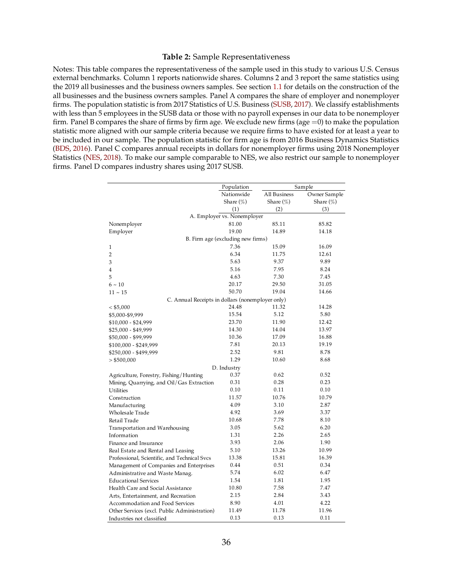### **Table 2:** Sample Representativeness

<span id="page-37-0"></span>Notes: This table compares the representativeness of the sample used in this study to various U.S. Census external benchmarks. Column 1 reports nationwide shares. Columns 2 and 3 report the same statistics using the 2019 all businesses and the business owners samples. See section [1.1](#page-8-1) for details on the construction of the all businesses and the business owners samples. Panel A compares the share of employer and nonemployer firms. The population statistic is from 2017 Statistics of U.S. Business [\(SUSB,](#page-35-12) [2017\)](#page-35-12). We classify establishments with less than 5 employees in the SUSB data or those with no payroll expenses in our data to be nonemployer firm. Panel B compares the share of firms by firm age. We exclude new firms (age  $=0$ ) to make the population statistic more aligned with our sample criteria because we require firms to have existed for at least a year to be included in our sample. The population statistic for firm age is from 2016 Business Dynamics Statistics [\(BDS,](#page-34-12) [2016\)](#page-34-12). Panel C compares annual receipts in dollars for nonemployer firms using 2018 Nonemployer Statistics [\(NES,](#page-35-13) [2018\)](#page-35-13). To make our sample comparable to NES, we also restrict our sample to nonemployer firms. Panel D compares industry shares using 2017 SUSB. **Table 1. Sample Benchmarking**

|                                                  | Population                        |                     | Sample       |
|--------------------------------------------------|-----------------------------------|---------------------|--------------|
|                                                  | Nationwide                        | <b>All Business</b> | Owner Sample |
|                                                  | Share $(\%)$                      | Share $(\%)$        | Share $(\%)$ |
|                                                  | (1)                               | (2)                 | (3)          |
|                                                  | A. Employer vs. Nonemployer       |                     |              |
| Nonemployer                                      | 81.00                             | 85.11               | 85.82        |
| Employer                                         | 19.00                             | 14.89               | 14.18        |
|                                                  | B. Firm age (excluding new firms) |                     |              |
| 1                                                | 7.36                              | 15.09               | 16.09        |
| $\overline{2}$                                   | 6.34                              | 11.75               | 12.61        |
| 3                                                | 5.63                              | 9.37                | 9.89         |
| $\overline{4}$                                   | 5.16                              | 7.95                | 8.24         |
| 5                                                | 4.63                              | 7.30                | 7.45         |
| $6 - 10$                                         | 20.17                             | 29.50               | 31.05        |
| $11 - 15$                                        | 50.70                             | 19.04               | 14.66        |
| C. Annual Receipts in dollars (nonemployer only) |                                   |                     |              |
| < \$5,000                                        | 24.48                             | 11.32               | 14.28        |
| \$5,000-\$9,999                                  | 15.54                             | 5.12                | 5.80         |
| \$10,000 - \$24,999                              | 23.70                             | 11.90               | 12.42        |
| \$25,000 - \$49,999                              | 14.30                             | 14.04               | 13.97        |
| \$50,000 - \$99,999                              | 10.36                             | 17.09               | 16.88        |
| \$100,000 - \$249,999                            | 7.81                              | 20.13               | 19.19        |
| \$250,000 - \$499,999                            | 2.52                              | 9.81                | 8.78         |
| $>$ \$500,000                                    | 1.29                              | 10.60               | 8.68         |
|                                                  | D. Industry                       |                     |              |
| Agriculture, Forestry, Fishing/Hunting           | 0.37                              | 0.62                | 0.52         |
| Mining, Quarrying, and Oil/Gas Extraction        | 0.31                              | 0.28                | 0.23         |
| <b>Utilities</b>                                 | 0.10                              | 0.11                | 0.10         |
| Construction                                     | 11.57                             | 10.76               | 10.79        |
| Manufacturing                                    | 4.09                              | 3.10                | 2.87         |
| Wholesale Trade                                  | 4.92                              | 3.69                | 3.37         |
| Retail Trade                                     | 10.68                             | 7.78                | 8.10         |
| Transportation and Warehousing                   | 3.05                              | 5.62                | 6.20         |
| Information                                      | 1.31                              | 2.26                | 2.65         |
| Finance and Insurance                            | 3.93                              | 2.06                | 1.90         |
| Real Estate and Rental and Leasing               | 5.10                              | 13.26               | 10.99        |
| Professional, Scientific, and Technical Svcs     | 13.38                             | 15.81               | 16.39        |
| Management of Companies and Enterprises          | 0.44                              | 0.51                | 0.34         |
| Administrative and Waste Manag.                  | 5.74                              | 6.02                | 6.47         |
| <b>Educational Services</b>                      | 1.54                              | 1.81                | 1.95         |
| Health Care and Social Assistance                | 10.80                             | 7.58                | 7.47         |
| Arts, Entertainment, and Recreation              | 2.15                              | 2.84                | 3.43         |
| Accommodation and Food Services                  | 8.90                              | 4.01                | 4.22         |
| Other Services (excl. Public Administration)     | 11.49                             | 11.78               | 11.96        |
| Industries not classified                        | 0.13                              | 0.13                | 0.11         |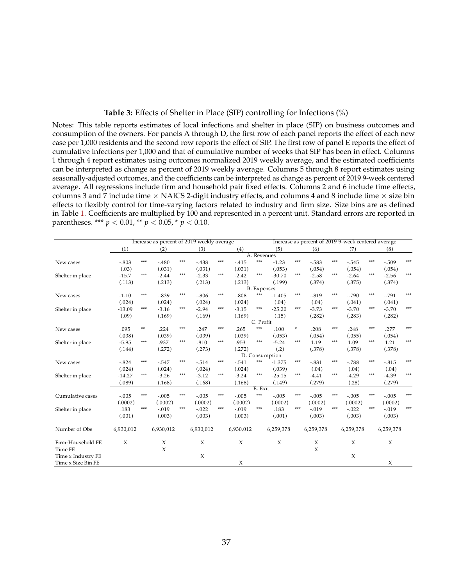### **Table 3:** Effects of Shelter in Place (SIP) controlling for Infections (%)

<span id="page-38-0"></span>Notes: This table reports estimates of local infections and shelter in place (SIP) on business outcomes and consumption of the owners. For panels A through D, the first row of each panel reports the effect of each new case per 1,000 residents and the second row reports the effect of SIP. The first row of panel E reports the effect of cumulative infections per 1,000 and that of cumulative number of weeks that SIP has been in effect. Columns 1 through 4 report estimates using outcomes normalized 2019 weekly average, and the estimated coefficients can be interpreted as change as percent of 2019 weekly average. Columns 5 through 8 report estimates using seasonally-adjusted outcomes, and the coefficients can be interpreted as change as percent of 2019 9-week centered average. All regressions include firm and household pair fixed effects. Columns 2 and 6 include time effects, columns 3 and 7 include time  $\times$  NAICS 2-digit industry effects, and columns 4 and 8 include time  $\times$  size bin effects to flexibly control for time-varying factors related to industry and firm size. Size bins are as defined in Table [1.](#page-36-0) Coefficients are multiplied by 100 and represented in a percent unit. Standard errors are reported in parentheses. \*\*\* *p* < 0.01, \*\* *p* < 0.05, \* *p* < 0.10.

|                    | Increase as percent of 2019 weekly average |     |           |       |           |     | Increase as percent of 2019 9-week centered average |                    |                |         |           |       |           |       |           |       |
|--------------------|--------------------------------------------|-----|-----------|-------|-----------|-----|-----------------------------------------------------|--------------------|----------------|---------|-----------|-------|-----------|-------|-----------|-------|
|                    | (1)                                        |     | (2)       |       | (3)       |     | (4)                                                 |                    | (5)            |         | (6)       |       | (7)       |       | (8)       |       |
|                    |                                            |     |           |       |           |     |                                                     |                    | A. Revenues    |         |           |       |           |       |           |       |
| New cases          | $-.803$                                    | *** | $-.480$   | $***$ | $-.438$   | *** | $-415$                                              | $***$              | $-1.23$        | $***$   | $-0.583$  | $***$ | $-.545$   | $***$ | $-.509$   | $***$ |
|                    | (.03)                                      |     | (.031)    |       | (.031)    |     | (.031)                                              |                    | (.053)         |         | (.054)    |       | (.054)    |       | (.054)    |       |
| Shelter in place   | $-15.7$                                    | *** | $-2.44$   | $***$ | $-2.33$   | *** | $-2.42$                                             | $***$              | $-30.70$       | $***$   | $-2.58$   | ***   | $-2.64$   | ***   | $-2.56$   | $***$ |
|                    | (.113)                                     |     | (.213)    |       | (.213)    |     | (.213)                                              |                    | (.199)         |         | (.374)    |       | (.375)    |       | (.374)    |       |
|                    |                                            |     |           |       |           |     |                                                     | <b>B.</b> Expenses |                |         |           |       |           |       |           |       |
| New cases          | $-1.10$                                    | *** | $-.839$   | ***   | $-.806$   | *** | $-.808$                                             | ***                | $-1.405$       | ***     | $-0.819$  | ***   | $-.790$   | ***   | $-.791$   | ***   |
|                    | (.024)                                     |     | (.024)    |       | (.024)    |     | (.024)                                              |                    | (.04)          |         | (.04)     |       | (.041)    |       | (.041)    |       |
| Shelter in place   | $-13.09$                                   | *** | $-3.16$   | ***   | $-2.94$   | *** | $-3.15$                                             | ***                | $-25.20$       | $***$   | $-3.73$   | $***$ | $-3.70$   | $***$ | $-3.70$   | $***$ |
|                    | (.09)                                      |     | (.169)    |       | (.169)    |     | (.169)                                              |                    | (.15)          |         | (.282)    |       | (.283)    |       | (.282)    |       |
|                    |                                            |     |           |       |           |     |                                                     | C. Profit          |                |         |           |       |           |       |           |       |
| New cases          | .095                                       | **  | .224      | ***   | .247      | *** | .265                                                | $***$              | .100           | $\star$ | .208      | ***   | .248      | ***   | .277      | ***   |
|                    | (.038)                                     |     | (.039)    |       | (.039)    |     | (.039)                                              |                    | (.053)         |         | (.054)    |       | (.055)    |       | (.054)    |       |
| Shelter in place   | $-5.95$                                    | *** | .937      | ***   | .810      | *** | .953                                                | ***                | $-5.24$        | $***$   | 1.19      | ***   | 1.09      | ***   | 1.21      | $***$ |
|                    | (.144)                                     |     | (.272)    |       | (.273)    |     | (.272)                                              |                    | (.2)           |         | (.378)    |       | (.378)    |       | (.378)    |       |
|                    |                                            |     |           |       |           |     |                                                     |                    | D. Consumption |         |           |       |           |       |           |       |
| New cases          | $-.824$                                    | *** | $-0.547$  | ***   | $-.514$   | *** | $-541$                                              | ***                | $-1.375$       | $***$   | $-.831$   | ***   | $-.788$   | $***$ | $-.815$   | ***   |
|                    | (.024)                                     |     | (.024)    |       | (.024)    |     | (.024)                                              |                    | (.039)         |         | (.04)     |       | (.04)     |       | (.04)     |       |
| Shelter in place   | $-14.27$                                   | *** | $-3.26$   | ***   | $-3.12$   | *** | $-3.24$                                             | ***                | $-25.15$       | $***$   | $-4.41$   | $***$ | $-4.29$   | ***   | $-4.39$   | $***$ |
|                    | (.089)                                     |     | (.168)    |       | (.168)    |     | (.168)                                              |                    | (.149)         |         | (.279)    |       | (.28)     |       | (.279)    |       |
|                    |                                            |     |           |       |           |     |                                                     | E. Exit            |                |         |           |       |           |       |           |       |
| Cumulative cases   | $-.005$                                    | *** | $-.005$   | ***   | $-.005$   | *** | $-.005$                                             | $***$              | $-.005$        | $***$   | $-.005$   | ***   | $-.005$   | ***   | $-.005$   | ***   |
|                    | (.0002)                                    |     | (.0002)   |       | (.0002)   |     | (.0002)                                             |                    | (.0002)        |         | (.0002)   |       | (.0002)   |       | (.0002)   |       |
| Shelter in place   | .183                                       | *** | $-.019$   | ***   | $-.022$   | *** | $-.019$                                             | ***                | .183           | ***     | $-.019$   | ***   | $-.022$   | ***   | $-.019$   | $***$ |
|                    | (.001)                                     |     | (.003)    |       | (.003)    |     | (.003)                                              |                    | (.001)         |         | (.003)    |       | (.003)    |       | (.003)    |       |
| Number of Obs      | 6,930,012                                  |     | 6,930,012 |       | 6,930,012 |     | 6,930,012                                           |                    | 6,259,378      |         | 6,259,378 |       | 6,259,378 |       | 6,259,378 |       |
| Firm-Household FE  | $\chi$                                     |     | X         |       | X         |     | $\chi$                                              |                    | X              |         | X         |       | X         |       | X         |       |
| Time FE            |                                            |     | $\chi$    |       |           |     |                                                     |                    |                |         | X         |       |           |       |           |       |
| Time x Industry FE |                                            |     |           |       | $\chi$    |     |                                                     |                    |                |         |           |       | $\chi$    |       |           |       |
| Time x Size Bin FE |                                            |     |           |       |           |     | $\chi$                                              |                    |                |         |           |       |           |       | X         |       |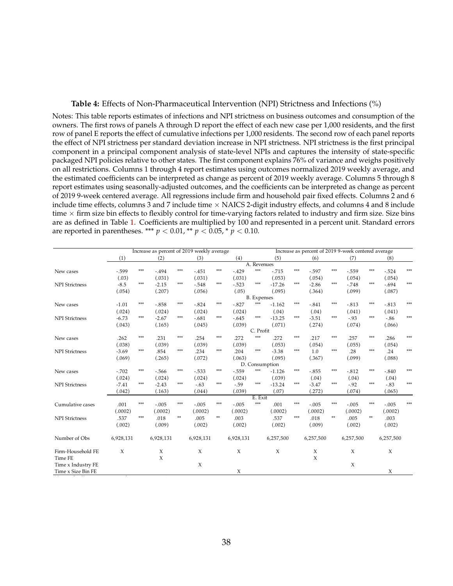### **Table 4:** Effects of Non-Pharmaceutical Intervention (NPI) Strictness and Infections (%)

<span id="page-39-0"></span>Notes: This table reports estimates of infections and NPI strictness on business outcomes and consumption of the owners. The first rows of panels A through D report the effect of each new case per 1,000 residents, and the first row of panel E reports the effect of cumulative infections per 1,000 residents. The second row of each panel reports the effect of NPI strictness per standard deviation increase in NPI strictness. NPI strictness is the first principal component in a principal component analysis of state-level NPIs and captures the intensity of state-specific packaged NPI policies relative to other states. The first component explains 76% of variance and weighs positively on all restrictions. Columns 1 through 4 report estimates using outcomes normalized 2019 weekly average, and the estimated coefficients can be interpreted as change as percent of 2019 weekly average. Columns 5 through 8 report estimates using seasonally-adjusted outcomes, and the coefficients can be interpreted as change as percent of 2019 9-week centered average. All regressions include firm and household pair fixed effects. Columns 2 and 6 include time effects, columns 3 and 7 include time  $\times$  NAICS 2-digit industry effects, and columns 4 and 8 include time  $\times$  firm size bin effects to flexibly control for time-varying factors related to industry and firm size. Size bins are as defined in Table [1.](#page-36-0) Coefficients are multiplied by 100 and represented in a percent unit. Standard errors are reported in parentheses. \*\*\*  $p < 0.01$ , \*\*  $p < 0.05$ , \*  $p < 0.10$ .

|                       |           |       | Increase as percent of 2019 weekly average |              |           |              |           |                    | Increase as percent of 2019 9-week centered average |       |           |       |           |       |           |       |
|-----------------------|-----------|-------|--------------------------------------------|--------------|-----------|--------------|-----------|--------------------|-----------------------------------------------------|-------|-----------|-------|-----------|-------|-----------|-------|
|                       | (1)       |       | (2)                                        |              | (3)       |              | (4)       |                    | (5)                                                 |       | (6)       |       | (7)       |       | (8)       |       |
|                       |           |       |                                            |              |           |              |           | A. Revenues        |                                                     |       |           |       |           |       |           |       |
| New cases             | $-599$    | $***$ | $-.494$                                    | $***$        | $-451$    | $***$        | $-429$    | $***$              | $-715$                                              | $***$ | $-0.597$  | ***   | $-559$    | $***$ | $-524$    | $***$ |
|                       | (.03)     |       | (.031)                                     |              | (.031)    |              | (.031)    |                    | (.053)                                              |       | (.054)    |       | (.054)    |       | (.054)    |       |
| <b>NPI</b> Strictness | $-8.5$    | ***   | $-2.15$                                    | ***          | $-548$    | $***$        | $-0.523$  | ***                | $-17.26$                                            | ***   | $-2.86$   | ***   | $-.748$   | ***   | $-.694$   | ***   |
|                       | (.054)    |       | (.207)                                     |              | (.056)    |              | (.05)     |                    | (.095)                                              |       | (.364)    |       | (.099)    |       | (.087)    |       |
|                       |           |       |                                            |              |           |              |           | <b>B.</b> Expenses |                                                     |       |           |       |           |       |           |       |
| New cases             | $-1.01$   | ***   | $-.858$                                    | ***          | $-0.824$  | $***$        | $-.827$   | $***$              | $-1.162$                                            | $***$ | $-.841$   | $***$ | $-.813$   | ***   | $-0.813$  | ***   |
|                       | (.024)    |       | (.024)                                     |              | (.024)    |              | (.024)    |                    | (.04)                                               |       | (.04)     |       | (.041)    |       | (.041)    |       |
| <b>NPI</b> Strictness | $-6.73$   | $***$ | $-2.67$                                    | ***          | $-.681$   | $***$        | $-.645$   | $***$              | $-13.25$                                            | ***   | $-3.51$   | ***   | $-.93$    | $***$ | $-86$     | $***$ |
|                       | (.043)    |       | (.165)                                     |              | (.045)    |              | (.039)    |                    | (.071)                                              |       | (.274)    |       | (.074)    |       | (.066)    |       |
|                       |           |       |                                            |              |           |              |           | C. Profit          |                                                     |       |           |       |           |       |           |       |
| New cases             | .262      | ***   | .231                                       | ***          | .254      | $***$        | .272      | $***$              | .272                                                | $***$ | .217      | ***   | .257      | ***   | .286      | ***   |
|                       | (.038)    |       | (.039)                                     |              | (.039)    |              | (.039)    |                    | (.053)                                              |       | (.054)    |       | (.055)    |       | (.054)    |       |
| <b>NPI</b> Strictness | $-3.69$   | ***   | .854                                       | $***$        | .234      | $***$        | .204      | ***                | $-3.38$                                             | ***   | 1.0       | ***   | .28       | ***   | .24       | $***$ |
|                       | (.069)    |       | (.265)                                     |              | (.072)    |              | (.063)    |                    | (.095)                                              |       | (.367)    |       | (.099)    |       | (.088)    |       |
|                       |           |       |                                            |              |           |              |           |                    | D. Consumption                                      |       |           |       |           |       |           |       |
| New cases             | $-.702$   | ***   | $-.566$                                    | ***          | $-533$    | $***$        | $-559$    | ***                | $-1.126$                                            | ***   | $-0.855$  | $***$ | $-.812$   | $***$ | $-.840$   | $***$ |
|                       | (.024)    |       | (.024)                                     |              | (.024)    |              | (.024)    |                    | (.039)                                              |       | (.04)     |       | (.04)     |       | (.04)     |       |
| <b>NPI</b> Strictness | $-7.41$   | $***$ | $-2.43$                                    | $***$        | $-63$     | $***$        | $-59$     | $***$              | $-13.24$                                            | $***$ | $-3.47$   | $***$ | $-.92$    | $***$ | $-83$     | ***   |
|                       | (.042)    |       | (.163)                                     |              | (.044)    |              | (.039)    |                    | (.07)                                               |       | (.272)    |       | (.074)    |       | (.065)    |       |
|                       |           |       |                                            |              |           |              |           | E. Exit            |                                                     |       |           |       |           |       |           |       |
| Cumulative cases      | .001      | ***   | $-.005$                                    | ***          | $-.005$   | $***$        | $-.005$   | $***$              | .001                                                | $***$ | $-.005$   | ***   | $-.005$   | ***   | $-.005$   | ***   |
|                       | (.0002)   |       | (.0002)                                    |              | (.0002)   |              | (.0002)   |                    | (.0002)                                             |       | (.0002)   |       | (.0002)   |       | (.0002)   |       |
| <b>NPI</b> Strictness | .537      | ***   | .018                                       | $\star\star$ | .005      | $\star\star$ | .003      |                    | .537                                                | ***   | .018      | $**$  | .005      | $**$  | .003      |       |
|                       | (.002)    |       | (.009)                                     |              | (.002)    |              | (.002)    |                    | (.002)                                              |       | (.009)    |       | (.002)    |       | (.002)    |       |
|                       |           |       |                                            |              |           |              |           |                    |                                                     |       |           |       |           |       |           |       |
| Number of Obs         | 6,928,131 |       | 6,928,131                                  |              | 6,928,131 |              | 6,928,131 |                    | 6,257,500                                           |       | 6,257,500 |       | 6,257,500 |       | 6,257,500 |       |
| Firm-Household FE     | $\chi$    |       | X                                          |              | $\chi$    |              | $\chi$    |                    | $\chi$                                              |       | X         |       | X         |       | $\chi$    |       |
| Time FE               |           |       | X                                          |              |           |              |           |                    |                                                     |       | X         |       |           |       |           |       |
| Time x Industry FE    |           |       |                                            |              | $\chi$    |              |           |                    |                                                     |       |           |       | X         |       |           |       |
| Time x Size Bin FE    |           |       |                                            |              |           |              | $\chi$    |                    |                                                     |       |           |       |           |       | X         |       |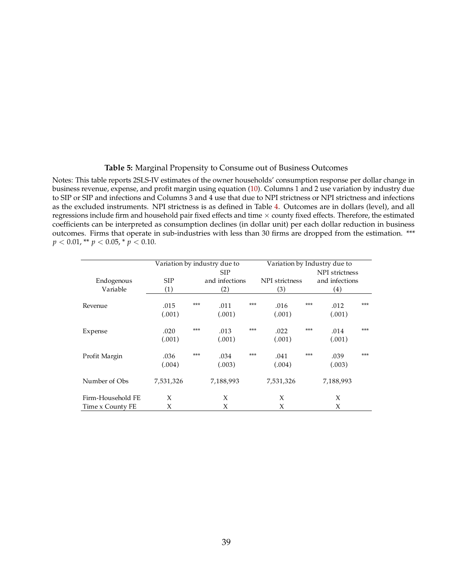### **Table 5:** Marginal Propensity to Consume out of Business Outcomes

<span id="page-40-0"></span>Notes: This table reports 2SLS-IV estimates of the owner households' consumption response per dollar change in business revenue, expense, and profit margin using equation [\(10\)](#page-27-1). Columns 1 and 2 use variation by industry due to SIP or SIP and infections and Columns 3 and 4 use that due to NPI strictness or NPI strictness and infections as the excluded instruments. NPI strictness is as defined in Table [4.](#page-39-0) Outcomes are in dollars (level), and all regressions include firm and household pair fixed effects and time  $\times$  county fixed effects. Therefore, the estimated coefficients can be interpreted as consumption declines (in dollar unit) per each dollar reduction in business outcomes. Firms that operate in sub-industries with less than 30 firms are dropped from the estimation. \*\*\*  $p < 0.01$ , \*\*  $p < 0.05$ , \*  $p < 0.10$ .

|                   | Variation by industry due to | Variation by Industry due to |            |     |                |     |                |       |  |
|-------------------|------------------------------|------------------------------|------------|-----|----------------|-----|----------------|-------|--|
|                   |                              |                              | <b>SIP</b> |     |                |     | NPI strictness |       |  |
| Endogenous        | <b>SIP</b>                   | and infections               |            |     | NPI strictness |     | and infections |       |  |
| Variable          | (1)                          |                              | (2)        |     | (3)            |     | (4)            |       |  |
| Revenue           | .015                         | ***                          | .011       | *** | .016           | *** | .012           | ***   |  |
|                   | (.001)                       |                              | (.001)     |     | (.001)         |     | (.001)         |       |  |
| Expense           | .020                         | ***                          | .013       | *** | .022           | *** | .014           | $***$ |  |
|                   | (.001)                       |                              | (.001)     |     | (.001)         |     | (.001)         |       |  |
| Profit Margin     | .036                         | ***                          | .034       | *** | .041           | *** | .039           | $***$ |  |
|                   | (.004)                       |                              | (.003)     |     | (.004)         |     | (.003)         |       |  |
| Number of Obs     | 7,531,326                    |                              | 7,188,993  |     | 7,531,326      |     | 7,188,993      |       |  |
| Firm-Household FE | X                            |                              | X          |     | X              |     | X              |       |  |
| Time x County FE  | X                            |                              | X          |     | X              |     | X              |       |  |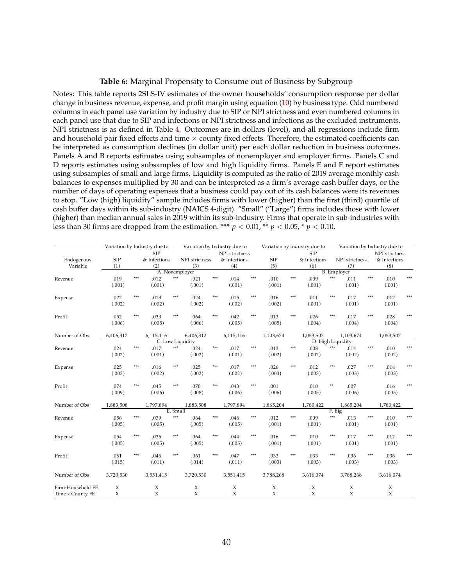### **Table 6:** Marginal Propensity to Consume out of Business by Subgroup

<span id="page-41-0"></span>Notes: This table reports 2SLS-IV estimates of the owner households' consumption response per dollar change in business revenue, expense, and profit margin using equation [\(10\)](#page-27-1) by business type. Odd numbered columns in each panel use variation by industry due to SIP or NPI strictness and even numbered columns in each panel use that due to SIP and infections or NPI strictness and infections as the excluded instruments. NPI strictness is as defined in Table [4.](#page-39-0) Outcomes are in dollars (level), and all regressions include firm and household pair fixed effects and time  $\times$  county fixed effects. Therefore, the estimated coefficients can be interpreted as consumption declines (in dollar unit) per each dollar reduction in business outcomes. Panels A and B reports estimates using subsamples of nonemployer and employer firms. Panels C and D reports estimates using subsamples of low and high liquidity firms. Panels E and F report estimates using subsamples of small and large firms. Liquidity is computed as the ratio of 2019 average monthly cash balances to expenses multiplied by 30 and can be interpreted as a firm's average cash buffer days, or the number of days of operating expenses that a business could pay out of its cash balances were its revenues to stop. "Low (high) liquidity" sample includes firms with lower (higher) than the first (third) quartile of cash buffer days within its sub-industry (NAICS 4-digit). "Small" ("Large") firms includes those with lower (higher) than median annual sales in 2019 within its sub-industry. Firms that operate in sub-industries with less than 30 firms are dropped from the estimation. \*\*\*  $p < 0.01$ , \*\*  $p < 0.05$ , \*  $p < 0.10$ .

|                   |            |     | Variation by Industry due to |          |                  |     | Variation by Industry due to |       |            |       | Variation by Industry due to |                    |                |     | Variation by Industry due to |     |
|-------------------|------------|-----|------------------------------|----------|------------------|-----|------------------------------|-------|------------|-------|------------------------------|--------------------|----------------|-----|------------------------------|-----|
|                   |            |     | <b>SIP</b>                   |          |                  |     | NPI strictness               |       |            |       | <b>SIP</b>                   |                    |                |     | NPI strictness               |     |
| Endogenous        | <b>SIP</b> |     | & Infections                 |          | NPI strictness   |     | & Infections                 |       | <b>SIP</b> |       | & Infections                 |                    | NPI strictness |     | & Infections                 |     |
| Variable          | (1)        |     | (2)                          |          | (3)              |     | (4)                          |       | (5)        |       | (6)                          |                    | (7)            |     | (8)                          |     |
|                   |            |     |                              |          | A. Nonemployer   |     |                              |       |            |       |                              | <b>B.</b> Employer |                |     |                              |     |
| Revenue           | .019       | *** | .012                         | $***$    | .021             | *** | .014                         | ***   | .010       | ***   | .009                         | ***                | .011           | *** | .010                         |     |
|                   | (.001)     |     | (.001)                       |          | (.001)           |     | (.001)                       |       | (.001)     |       | (.001)                       |                    | (.001)         |     | (.001)                       |     |
| Expense           | .022       | *** | .013                         | $***$    | .024             | *** | .015                         | $***$ | .016       | $***$ | .011                         | ***                | .017           | *** | .012                         | *** |
|                   | (.002)     |     | (.002)                       |          | (.002)           |     | (.002)                       |       | (.002)     |       | (.001)                       |                    | (.001)         |     | (.001)                       |     |
| Profit            | .052       | *** | .033                         | $***$    | .064             | *** | .042                         | $***$ | .013       | $***$ | .026                         | ***                | .017           | *** | .028                         |     |
|                   | (.006)     |     | (.005)                       |          | (.006)           |     | (.005)                       |       | (.005)     |       | (.004)                       |                    | (.004)         |     | (.004)                       |     |
| Number of Obs     | 6,406,312  |     | 6,115,116                    |          | 6,406,312        |     | 6,115,116                    |       | 1,103,674  |       | 1,053,507                    |                    | 1,103,674      |     | 1,053,507                    |     |
|                   |            |     |                              |          | C. Low Liquidity |     |                              |       |            |       | D. High Liquidity            |                    |                |     |                              |     |
| Revenue           | .024       | *** | .017                         | $***$    | .024             | *** | .017                         | $***$ | .013       | $***$ | .008                         | ***                | .014           | *** | .010                         |     |
|                   | (.002)     |     | (.001)                       |          | (.002)           |     | (.001)                       |       | (.002)     |       | (.002)                       |                    | (.002)         |     | (.002)                       |     |
| Expense           | .025       | *** | .016                         | $***$    | .025             | *** | .017                         | ***   | .026       | ***   | .012                         | ***                | .027           | *** | .014                         |     |
|                   | (.002)     |     | (.002)                       |          | (.002)           |     | (.002)                       |       | (.003)     |       | (.003)                       |                    | (.003)         |     | (.003)                       |     |
| Profit            | .074       | *** | .045                         | $***$    | .070             | *** | .043                         | $***$ | .001       |       | .010                         | **                 | .007           |     | .016                         |     |
|                   | (.009)     |     | (.006)                       |          | (.008)           |     | (.006)                       |       | (.006)     |       | (.005)                       |                    | (.006)         |     | (.005)                       |     |
| Number of Obs     | 1,883,508  |     | 1,797,894                    |          | 1,883,508        |     | 1,797,894                    |       | 1,865,204  |       | 1,780,422                    |                    | 1,865,204      |     | 1,780,422                    |     |
|                   |            |     |                              | E. Small |                  |     |                              |       |            |       |                              | F. Big             |                |     |                              |     |
| Revenue           | .056       | *** | .039                         | $***$    | .064             | *** | .046                         | $***$ | .012       | $***$ | .009                         | ***                | .013           | *** | .010                         |     |
|                   | (.005)     |     | (.005)                       |          | (.005)           |     | (.005)                       |       | (.001)     |       | (.001)                       |                    | (.001)         |     | (.001)                       |     |
| Expense           | .054       | *** | .036                         | ***      | .064             | *** | .044                         | ***   | .016       | ***   | .010                         | ***                | .017           | *** | .012                         | *** |
|                   | (.005)     |     | (.005)                       |          | (.005)           |     | (.005)                       |       | (.001)     |       | (.001)                       |                    | (.001)         |     | (.001)                       |     |
| Profit            | .061       | *** | .046                         | ***      | .061             | *** | .047                         | $***$ | .033       | $***$ | .033                         | ***                | .036           | *** | .036                         |     |
|                   | (.015)     |     | (.011)                       |          | (.014)           |     | (.011)                       |       | (.003)     |       | (.003)                       |                    | (.003)         |     | (.003)                       |     |
| Number of Obs     | 3,720,530  |     | 3,551,415                    |          | 3,720,530        |     | 3,551,415                    |       | 3,788,268  |       | 3,616,074                    |                    | 3,788,268      |     | 3,616,074                    |     |
| Firm-Household FE | X          |     | X                            |          | X                |     | X                            |       | X          |       | X                            |                    | X              |     | X                            |     |
| Time x County FE  | X          |     | X                            |          | X                |     | X                            |       | X          |       | X                            |                    | X              |     | X                            |     |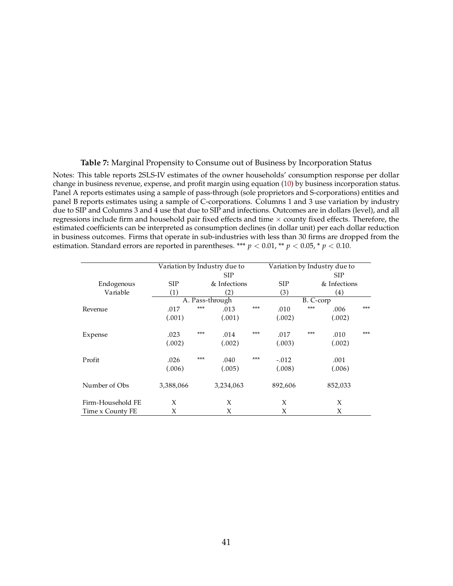### **Table 7:** Marginal Propensity to Consume out of Business by Incorporation Status

<span id="page-42-0"></span>Notes: This table reports 2SLS-IV estimates of the owner households' consumption response per dollar change in business revenue, expense, and profit margin using equation [\(10\)](#page-27-1) by business incorporation status. Panel A reports estimates using a sample of pass-through (sole proprietors and S-corporations) entities and panel B reports estimates using a sample of C-corporations. Columns 1 and 3 use variation by industry due to SIP and Columns 3 and 4 use that due to SIP and infections. Outcomes are in dollars (level), and all regressions include firm and household pair fixed effects and time  $\times$  county fixed effects. Therefore, the estimated coefficients can be interpreted as consumption declines (in dollar unit) per each dollar reduction in business outcomes. Firms that operate in sub-industries with less than 30 firms are dropped from the estimation. Standard errors are reported in parentheses. \*\*\*  $p < 0.01$ , \*\*  $p < 0.05$ , \*  $p < 0.10$ . **(Dollar Effects)**

|                   |            |       | Variation by Industry due to | Variation by Industry due to |            |           |              |       |  |  |  |
|-------------------|------------|-------|------------------------------|------------------------------|------------|-----------|--------------|-------|--|--|--|
|                   |            |       |                              | <b>SIP</b>                   |            |           |              |       |  |  |  |
| Endogenous        | <b>SIP</b> |       | & Infections                 |                              | <b>SIP</b> |           | & Infections |       |  |  |  |
| Variable          | (1)        |       | $\left( 2\right)$            |                              | (3)        |           | (4)          |       |  |  |  |
|                   |            |       | A. Pass-through              |                              |            | B. C-corp |              |       |  |  |  |
| Revenue           | .017       | ***   | .013                         | ***                          | .010       | ***       | .006         | ***   |  |  |  |
|                   | (.001)     |       | (.001)                       |                              | (.002)     |           | (.002)       |       |  |  |  |
|                   |            |       |                              |                              |            |           |              |       |  |  |  |
| Expense           | .023       | $***$ | .014                         | ***                          | .017       | ***       | .010         | $***$ |  |  |  |
|                   | (.002)     |       | (.002)                       |                              | (.003)     |           | (.002)       |       |  |  |  |
| Profit            | .026       | $***$ | .040                         | $***$                        | $-.012$    |           | .001         |       |  |  |  |
|                   | (.006)     |       | (.005)                       |                              | (.008)     |           | (.006)       |       |  |  |  |
|                   |            |       |                              |                              |            |           |              |       |  |  |  |
| Number of Obs     | 3,388,066  |       | 3,234,063                    |                              | 892,606    |           | 852,033      |       |  |  |  |
| Firm-Household FE | X          |       | X                            |                              | X          |           | X            |       |  |  |  |
| Time x County FE  | X          |       | X                            |                              | X          |           | X            |       |  |  |  |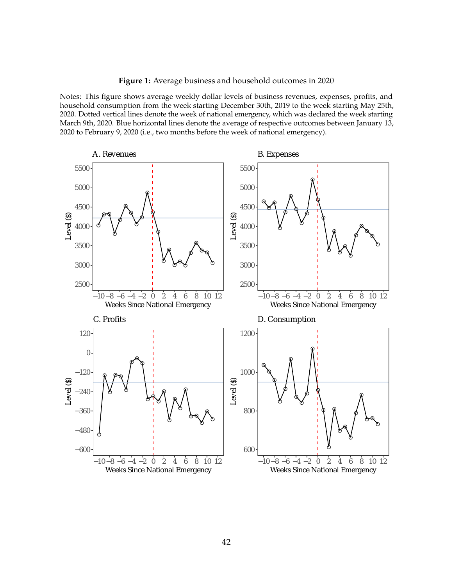**Figure 1:** Average business and household outcomes in 2020

<span id="page-43-0"></span>Notes: This figure shows average weekly dollar levels of business revenues, expenses, profits, and household consumption from the week starting December 30th, 2019 to the week starting May 25th, 2020. Dotted vertical lines denote the week of national emergency, which was declared the week starting March 9th, 2020. Blue horizontal lines denote the average of respective outcomes between January 13, 2020 to February 9, 2020 (i.e., two months before the week of national emergency).

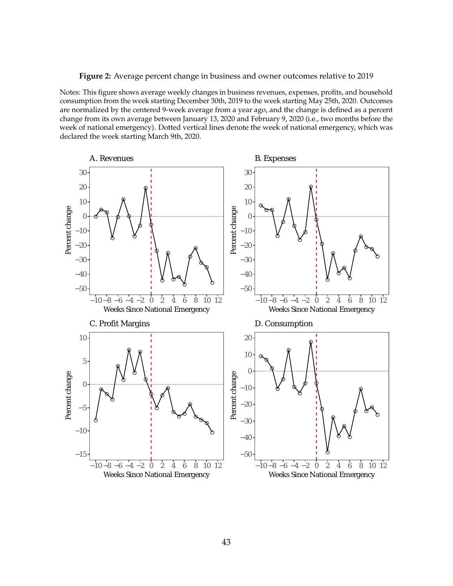### **Figure 2:** Average percent change in business and owner outcomes relative to 2019

<span id="page-44-0"></span>Notes: This figure shows average weekly changes in business revenues, expenses, profits, and household consumption from the week starting December 30th, 2019 to the week starting May 25th, 2020. Outcomes are normalized by the centered 9-week average from a year ago, and the change is defined as a percent change from its own average between January 13, 2020 and February 9, 2020 (i.e., two months before the week of national emergency). Dotted vertical lines denote the week of national emergency, which was declared the week starting March 9th, 2020.

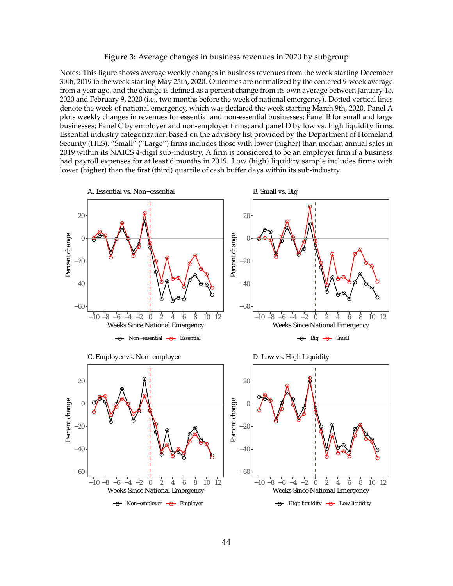### **Figure 3:** Average changes in business revenues in 2020 by subgroup

<span id="page-45-0"></span>Notes: This figure shows average weekly changes in business revenues from the week starting December 30th, 2019 to the week starting May 25th, 2020. Outcomes are normalized by the centered 9-week average from a year ago, and the change is defined as a percent change from its own average between January 13, 2020 and February 9, 2020 (i.e., two months before the week of national emergency). Dotted vertical lines denote the week of national emergency, which was declared the week starting March 9th, 2020. Panel A plots weekly changes in revenues for essential and non-essential businesses; Panel B for small and large businesses; Panel C by employer and non-employer firms; and panel D by low vs. high liquidity firms. Essential industry categorization based on the advisory list provided by the Department of Homeland Security (HLS). "Small" ("Large") firms includes those with lower (higher) than median annual sales in 2019 within its NAICS 4-digit sub-industry. A firm is considered to be an employer firm if a business had payroll expenses for at least 6 months in 2019. Low (high) liquidity sample includes firms with lower (higher) than the first (third) quartile of cash buffer days within its sub-industry.

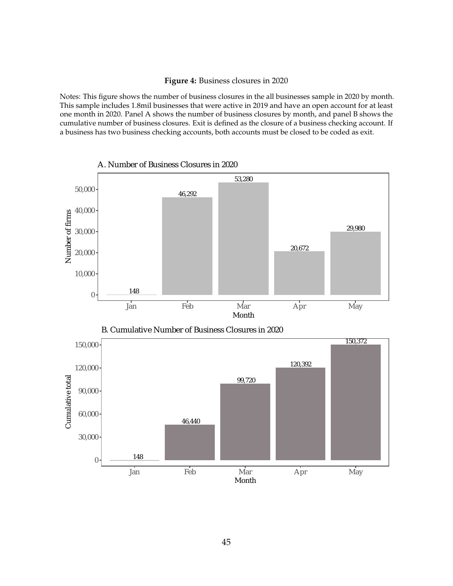### **Figure 4:** Business closures in 2020

<span id="page-46-0"></span>Notes: This figure shows the number of business closures in the all businesses sample in 2020 by month. This sample includes 1.8mil businesses that were active in 2019 and have an open account for at least one month in 2020. Panel A shows the number of business closures by month, and panel B shows the cumulative number of business closures. Exit is defined as the closure of a business checking account. If a business has two business checking accounts, both accounts must be closed to be coded as exit.







B. Cumulative Number of Business Closures in 2020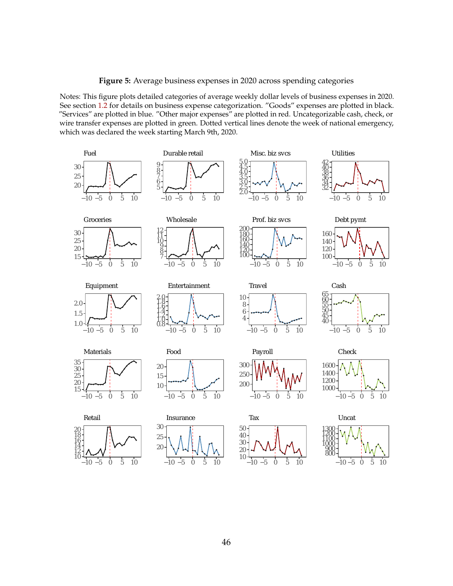**Figure 5:** Average business expenses in 2020 across spending categories

<span id="page-47-0"></span>Notes: This figure plots detailed categories of average weekly dollar levels of business expenses in 2020. See section [1.2](#page-11-1) for details on business expense categorization. "Goods" expenses are plotted in black. "Services" are plotted in blue. "Other major expenses" are plotted in red. Uncategorizable cash, check, or wire transfer expenses are plotted in green. Dotted vertical lines denote the week of national emergency, which was declared the week starting March 9th, 2020.

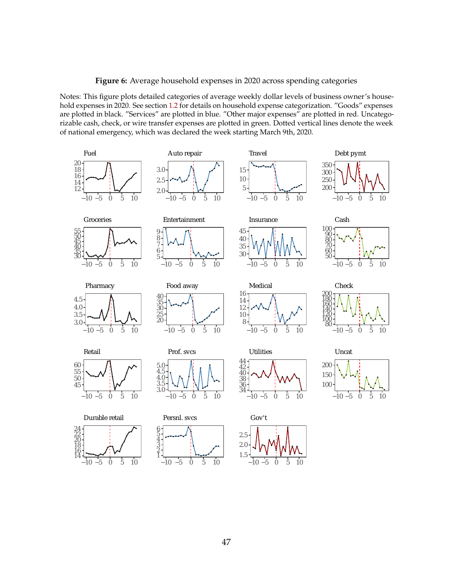**Figure 6:** Average household expenses in 2020 across spending categories

<span id="page-48-0"></span>Notes: This figure plots detailed categories of average weekly dollar levels of business owner's household expenses in 2020. See section [1.2](#page-11-1) for details on household expense categorization. "Goods" expenses are plotted in black. "Services" are plotted in blue. "Other major expenses" are plotted in red. Uncategorizable cash, check, or wire transfer expenses are plotted in green. Dotted vertical lines denote the week of national emergency, which was declared the week starting March 9th, 2020.

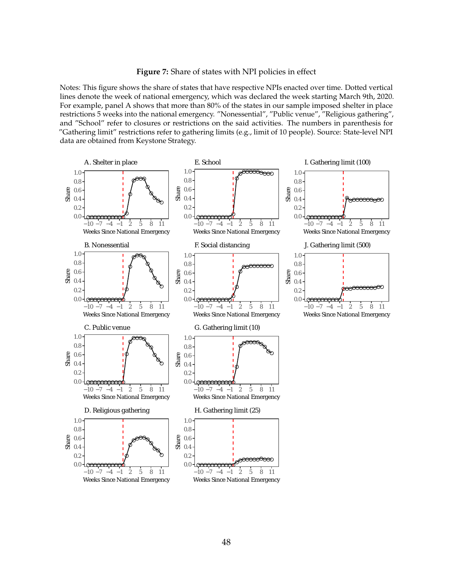Figure 7: Share of states with NPI policies in effect

<span id="page-49-0"></span>Notes: This figure shows the share of states that have respective NPIs enacted over time. Dotted vertical lines denote the week of national emergency, which was declared the week starting March 9th, 2020. For example, panel A shows that more than 80% of the states in our sample imposed shelter in place restrictions 5 weeks into the national emergency. "Nonessential", "Public venue", "Religious gathering", and "School" refer to closures or restrictions on the said activities. The numbers in parenthesis for "Gathering limit" restrictions refer to gathering limits (e.g., limit of 10 people). Source: State-level NPI data are obtained from Keystone Strategy.

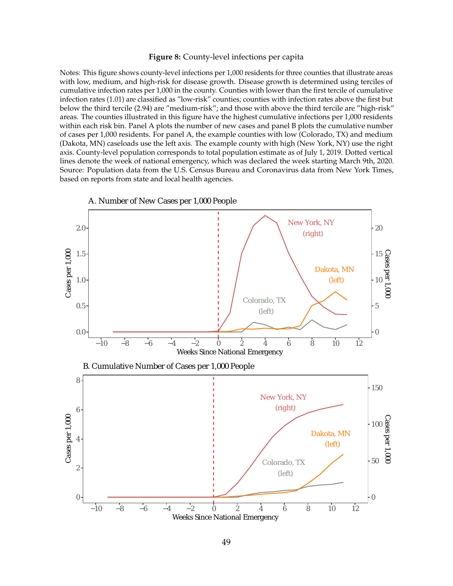### **Figure 8:** County-level infections per capita

<span id="page-50-0"></span>Notes: This figure shows county-level infections per 1,000 residents for three counties that illustrate areas with low, medium, and high-risk for disease growth. Disease growth is determined using terciles of cumulative infection rates per 1,000 in the county. Counties with lower than the first tercile of cumulative infection rates (1.01) are classified as "low-risk" counties; counties with infection rates above the first but below the third tercile (2.94) are "medium-risk"; and those with above the third tercile are "high-risk" areas. The counties illustrated in this figure have the highest cumulative infections per 1,000 residents within each risk bin. Panel A plots the number of new cases and panel B plots the cumulative number of cases per 1,000 residents. For panel A, the example counties with low (Colorado, TX) and medium (Dakota, MN) caseloads use the left axis. The example county with high (New York, NY) use the right axis. County-level population corresponds to total population estimate as of July 1, 2019. Dotted vertical lines denote the week of national emergency, which was declared the week starting March 9th, 2020. Source: Population data from the U.S. Census Bureau and Coronavirus data from New York Times, based on reports from state and local health agencies.

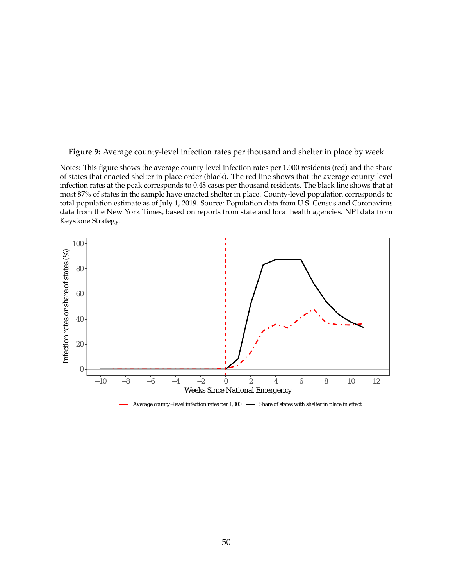<span id="page-51-0"></span>**Figure 9:** Average county-level infection rates per thousand and shelter in place by week

Notes: This figure shows the average county-level infection rates per 1,000 residents (red) and the share of states that enacted shelter in place order (black). The red line shows that the average county-level infection rates at the peak corresponds to 0.48 cases per thousand residents. The black line shows that at most 87% of states in the sample have enacted shelter in place. County-level population corresponds to total population estimate as of July 1, 2019. Source: Population data from U.S. Census and Coronavirus data from the New York Times, based on reports from state and local health agencies. NPI data from Keystone Strategy.



Average county-level infection rates per 1,000 - Share of states with shelter in place in effect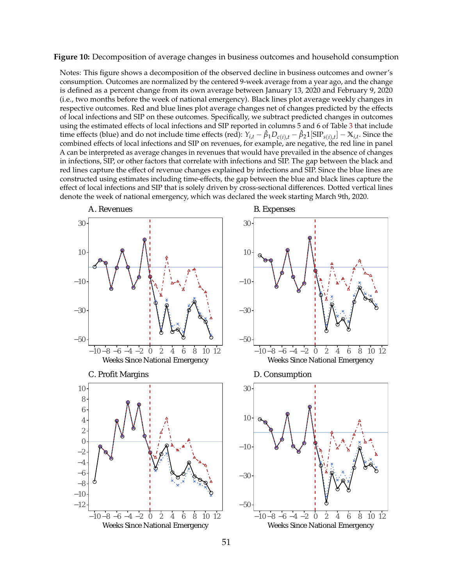<span id="page-52-0"></span>**Figure 10:** Decomposition of average changes in business outcomes and household consumption

Notes: This figure shows a decomposition of the observed decline in business outcomes and owner's consumption. Outcomes are normalized by the centered 9-week average from a year ago, and the change is defined as a percent change from its own average between January 13, 2020 and February 9, 2020 (i.e., two months before the week of national emergency). Black lines plot average weekly changes in respective outcomes. Red and blue lines plot average changes net of changes predicted by the effects of local infections and SIP on these outcomes. Specifically, we subtract predicted changes in outcomes using the estimated effects of local infections and SIP reported in columns 5 and 6 of Table [3](#page-38-0) that include time effects (blue) and do not include time effects (red):  $Y_{i,t} - \hat{\beta}_1 D_{c(i),t} - \hat{\beta}_2 1 [\text{SIP}_{s(i),t}] - \mathbb{X}_{i,t}$ . Since the combined effects of local infections and SIP on revenues, for example, are negative, the red line in panel A can be interpreted as average changes in revenues that would have prevailed in the absence of changes in infections, SIP, or other factors that correlate with infections and SIP. The gap between the black and red lines capture the effect of revenue changes explained by infections and SIP. Since the blue lines are constructed using estimates including time-effects, the gap between the blue and black lines capture the effect of local infections and SIP that is solely driven by cross-sectional differences. Dotted vertical lines denote the week of national emergency, which was declared the week starting March 9th, 2020.

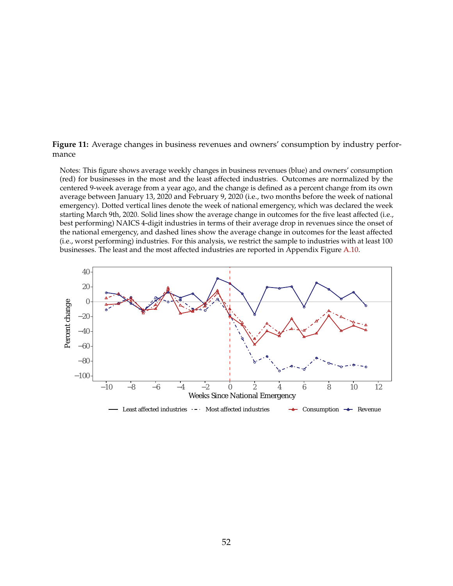<span id="page-53-0"></span>**Figure 11:** Average changes in business revenues and owners' consumption by industry performance

Notes: This figure shows average weekly changes in business revenues (blue) and owners' consumption (red) for businesses in the most and the least affected industries. Outcomes are normalized by the centered 9-week average from a year ago, and the change is defined as a percent change from its own average between January 13, 2020 and February 9, 2020 (i.e., two months before the week of national emergency). Dotted vertical lines denote the week of national emergency, which was declared the week starting March 9th, 2020. Solid lines show the average change in outcomes for the five least affected (i.e., best performing) NAICS 4-digit industries in terms of their average drop in revenues since the onset of the national emergency, and dashed lines show the average change in outcomes for the least affected (i.e., worst performing) industries. For this analysis, we restrict the sample to industries with at least 100 businesses. The least and the most affected industries are reported in Appendix Figure A.10.

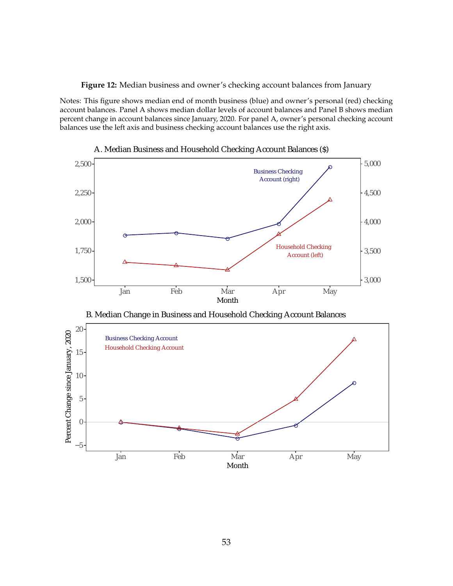**Figure 12:** Median business and owner's checking account balances from January

<span id="page-54-0"></span>Notes: This figure shows median end of month business (blue) and owner's personal (red) checking account balances. Panel A shows median dollar levels of account balances and Panel B shows median percent change in account balances since January, 2020. For panel A, owner's personal checking account balances use the left axis and business checking account balances use the right axis.



A. Median Business and Household Checking Account Balances (\$)

B. Median Change in Business and Household Checking Account Balances